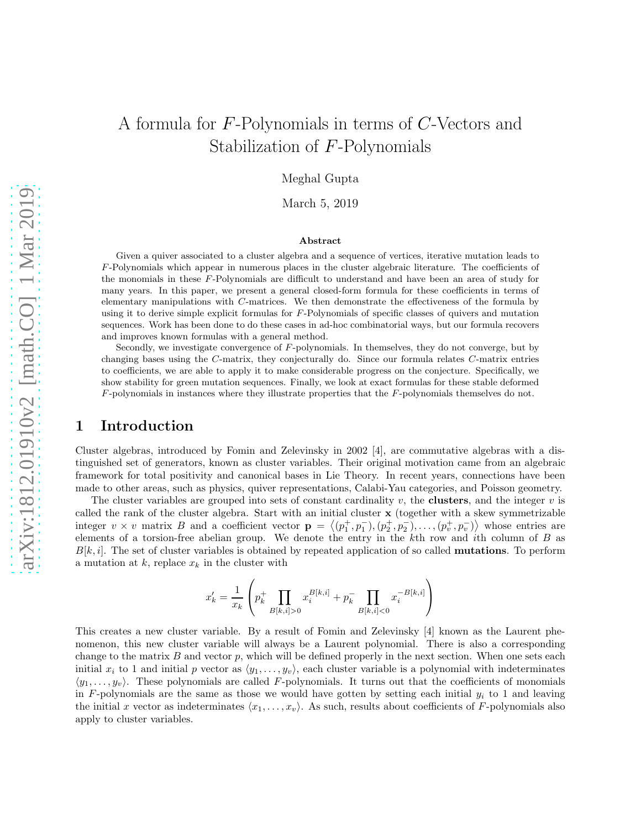# A formula for F-Polynomials in terms of C-Vectors and Stabilization of F-Polynomials

Meghal Gupta

March 5, 2019

#### Abstract

Given a quiver associated to a cluster algebra and a sequence of vertices, iterative mutation leads to F-Polynomials which appear in numerous places in the cluster algebraic literature. The coefficients of the monomials in these F-Polynomials are difficult to understand and have been an area of study for many years. In this paper, we present a general closed-form formula for these coefficients in terms of elementary manipulations with C-matrices. We then demonstrate the effectiveness of the formula by using it to derive simple explicit formulas for F-Polynomials of specific classes of quivers and mutation sequences. Work has been done to do these cases in ad-hoc combinatorial ways, but our formula recovers and improves known formulas with a general method.

Secondly, we investigate convergence of F-polynomials. In themselves, they do not converge, but by changing bases using the C-matrix, they conjecturally do. Since our formula relates C-matrix entries to coefficients, we are able to apply it to make considerable progress on the conjecture. Specifically, we show stability for green mutation sequences. Finally, we look at exact formulas for these stable deformed F-polynomials in instances where they illustrate properties that the F-polynomials themselves do not.

## 1 Introduction

Cluster algebras, introduced by Fomin and Zelevinsky in 2002 [4], are commutative algebras with a distinguished set of generators, known as cluster variables. Their original motivation came from an algebraic framework for total positivity and canonical bases in Lie Theory. In recent years, connections have been made to other areas, such as physics, quiver representations, Calabi-Yau categories, and Poisson geometry.

The cluster variables are grouped into sets of constant cardinality  $v$ , the **clusters**, and the integer  $v$  is called the rank of the cluster algebra. Start with an initial cluster x (together with a skew symmetrizable integer  $v \times v$  matrix B and a coefficient vector  $\mathbf{p} = \langle (p_1^+, p_1^-, (p_2^+, p_2^-, \ldots, (p_v^+, p_v^-)) \rangle$  whose entries are elements of a torsion-free abelian group. We denote the entry in the  $k$ th row and ith column of  $B$  as  $B[k, i]$ . The set of cluster variables is obtained by repeated application of so called **mutations**. To perform a mutation at  $k$ , replace  $x_k$  in the cluster with

$$
x'_k = \frac{1}{x_k} \left( p_k^+ \prod_{B[k,i]>0} x_i^{B[k,i]} + p_k^- \prod_{B[k,i]<0} x_i^{-B[k,i]} \right)
$$

This creates a new cluster variable. By a result of Fomin and Zelevinsky [4] known as the Laurent phenomenon, this new cluster variable will always be a Laurent polynomial. There is also a corresponding change to the matrix  $B$  and vector  $p$ , which will be defined properly in the next section. When one sets each initial  $x_i$  to 1 and initial p vector as  $\langle y_1, \ldots, y_v \rangle$ , each cluster variable is a polynomial with indeterminates  $\langle y_1, \ldots, y_v \rangle$ . These polynomials are called F-polynomials. It turns out that the coefficients of monomials in F-polynomials are the same as those we would have gotten by setting each initial  $y_i$  to 1 and leaving the initial x vector as indeterminates  $\langle x_1, \ldots, x_v \rangle$ . As such, results about coefficients of F-polynomials also apply to cluster variables.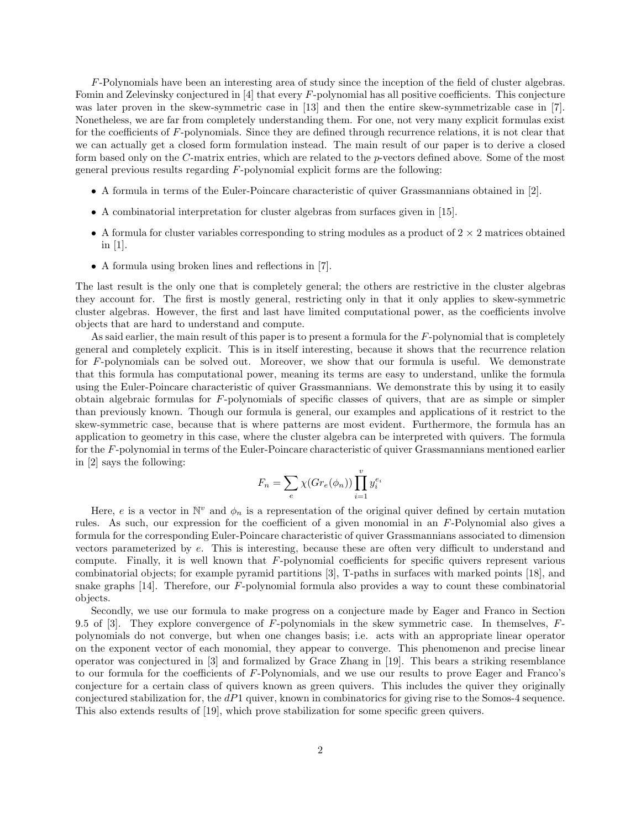F-Polynomials have been an interesting area of study since the inception of the field of cluster algebras. Fomin and Zelevinsky conjectured in  $[4]$  that every  $F$ -polynomial has all positive coefficients. This conjecture was later proven in the skew-symmetric case in [13] and then the entire skew-symmetrizable case in [7]. Nonetheless, we are far from completely understanding them. For one, not very many explicit formulas exist for the coefficients of F-polynomials. Since they are defined through recurrence relations, it is not clear that we can actually get a closed form formulation instead. The main result of our paper is to derive a closed form based only on the C-matrix entries, which are related to the p-vectors defined above. Some of the most general previous results regarding F-polynomial explicit forms are the following:

- A formula in terms of the Euler-Poincare characteristic of quiver Grassmannians obtained in [2].
- A combinatorial interpretation for cluster algebras from surfaces given in [15].
- A formula for cluster variables corresponding to string modules as a product of  $2 \times 2$  matrices obtained in [1].
- A formula using broken lines and reflections in [7].

The last result is the only one that is completely general; the others are restrictive in the cluster algebras they account for. The first is mostly general, restricting only in that it only applies to skew-symmetric cluster algebras. However, the first and last have limited computational power, as the coefficients involve objects that are hard to understand and compute.

As said earlier, the main result of this paper is to present a formula for the  $F$ -polynomial that is completely general and completely explicit. This is in itself interesting, because it shows that the recurrence relation for F-polynomials can be solved out. Moreover, we show that our formula is useful. We demonstrate that this formula has computational power, meaning its terms are easy to understand, unlike the formula using the Euler-Poincare characteristic of quiver Grassmannians. We demonstrate this by using it to easily obtain algebraic formulas for F-polynomials of specific classes of quivers, that are as simple or simpler than previously known. Though our formula is general, our examples and applications of it restrict to the skew-symmetric case, because that is where patterns are most evident. Furthermore, the formula has an application to geometry in this case, where the cluster algebra can be interpreted with quivers. The formula for the F-polynomial in terms of the Euler-Poincare characteristic of quiver Grassmannians mentioned earlier in [2] says the following:

$$
F_n = \sum_e \chi(Gr_e(\phi_n)) \prod_{i=1}^v y_i^{e_i}
$$

Here, e is a vector in  $\mathbb{N}^v$  and  $\phi_n$  is a representation of the original quiver defined by certain mutation rules. As such, our expression for the coefficient of a given monomial in an F-Polynomial also gives a formula for the corresponding Euler-Poincare characteristic of quiver Grassmannians associated to dimension vectors parameterized by e. This is interesting, because these are often very difficult to understand and compute. Finally, it is well known that  $F$ -polynomial coefficients for specific quivers represent various combinatorial objects; for example pyramid partitions [3], T-paths in surfaces with marked points [18], and snake graphs [14]. Therefore, our F-polynomial formula also provides a way to count these combinatorial objects.

Secondly, we use our formula to make progress on a conjecture made by Eager and Franco in Section 9.5 of [3]. They explore convergence of F-polynomials in the skew symmetric case. In themselves,  $F$ polynomials do not converge, but when one changes basis; i.e. acts with an appropriate linear operator on the exponent vector of each monomial, they appear to converge. This phenomenon and precise linear operator was conjectured in [3] and formalized by Grace Zhang in [19]. This bears a striking resemblance to our formula for the coefficients of F-Polynomials, and we use our results to prove Eager and Franco's conjecture for a certain class of quivers known as green quivers. This includes the quiver they originally conjectured stabilization for, the dP1 quiver, known in combinatorics for giving rise to the Somos-4 sequence. This also extends results of [19], which prove stabilization for some specific green quivers.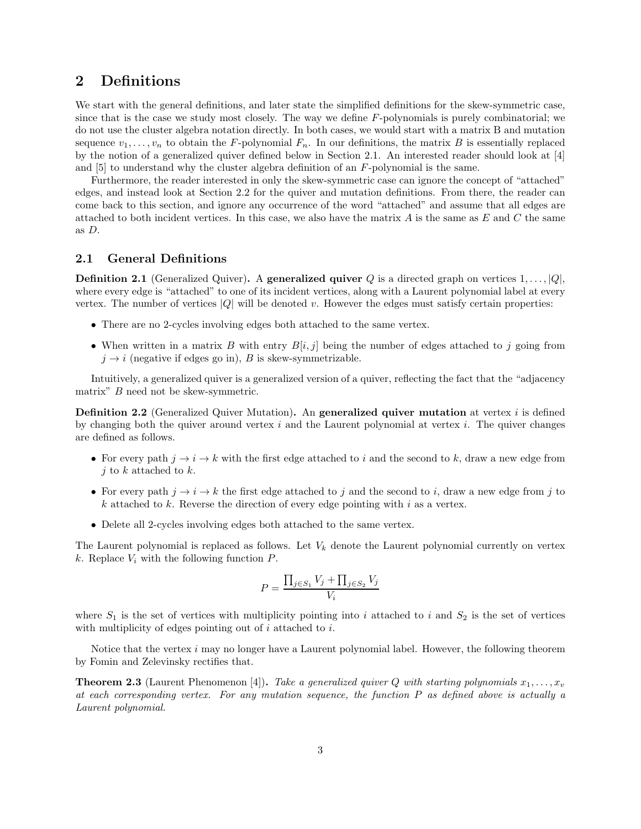# 2 Definitions

We start with the general definitions, and later state the simplified definitions for the skew-symmetric case, since that is the case we study most closely. The way we define F-polynomials is purely combinatorial; we do not use the cluster algebra notation directly. In both cases, we would start with a matrix B and mutation sequence  $v_1, \ldots, v_n$  to obtain the F-polynomial  $F_n$ . In our definitions, the matrix B is essentially replaced by the notion of a generalized quiver defined below in Section 2.1. An interested reader should look at [4] and  $[5]$  to understand why the cluster algebra definition of an  $F$ -polynomial is the same.

Furthermore, the reader interested in only the skew-symmetric case can ignore the concept of "attached" edges, and instead look at Section 2.2 for the quiver and mutation definitions. From there, the reader can come back to this section, and ignore any occurrence of the word "attached" and assume that all edges are attached to both incident vertices. In this case, we also have the matrix A is the same as  $E$  and  $C$  the same as D.

#### 2.1 General Definitions

**Definition 2.1** (Generalized Quiver). A generalized quiver Q is a directed graph on vertices  $1, \ldots, |Q|$ , where every edge is "attached" to one of its incident vertices, along with a Laurent polynomial label at every vertex. The number of vertices  $|Q|$  will be denoted v. However the edges must satisfy certain properties:

- There are no 2-cycles involving edges both attached to the same vertex.
- When written in a matrix B with entry  $B[i, j]$  being the number of edges attached to j going from  $j \rightarrow i$  (negative if edges go in), B is skew-symmetrizable.

Intuitively, a generalized quiver is a generalized version of a quiver, reflecting the fact that the "adjacency matrix" B need not be skew-symmetric.

**Definition 2.2** (Generalized Quiver Mutation). An **generalized quiver mutation** at vertex i is defined by changing both the quiver around vertex  $i$  and the Laurent polynomial at vertex  $i$ . The quiver changes are defined as follows.

- For every path  $j \to i \to k$  with the first edge attached to i and the second to k, draw a new edge from  $i$  to  $k$  attached to  $k$ .
- For every path  $j \to i \to k$  the first edge attached to j and the second to i, draw a new edge from j to k attached to k. Reverse the direction of every edge pointing with i as a vertex.
- Delete all 2-cycles involving edges both attached to the same vertex.

The Laurent polynomial is replaced as follows. Let  $V_k$  denote the Laurent polynomial currently on vertex k. Replace  $V_i$  with the following function  $P$ .

$$
P = \frac{\prod_{j \in S_1} V_j + \prod_{j \in S_2} V_j}{V_i}
$$

where  $S_1$  is the set of vertices with multiplicity pointing into i attached to i and  $S_2$  is the set of vertices with multiplicity of edges pointing out of  $i$  attached to  $i$ .

Notice that the vertex  $i$  may no longer have a Laurent polynomial label. However, the following theorem by Fomin and Zelevinsky rectifies that.

**Theorem 2.3** (Laurent Phenomenon [4]). Take a generalized quiver Q with starting polynomials  $x_1, \ldots, x_v$ at each corresponding vertex. For any mutation sequence, the function P as defined above is actually a Laurent polynomial.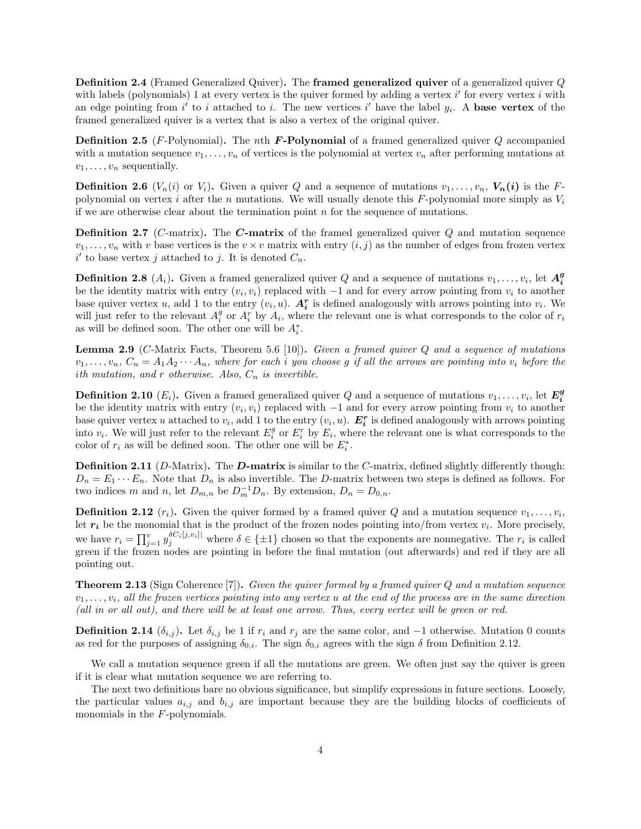Definition 2.4 (Framed Generalized Quiver). The framed generalized quiver of a generalized quiver Q with labels (polynomials) 1 at every vertex is the quiver formed by adding a vertex  $i'$  for every vertex  $i$  with an edge pointing from i' to i attached to i. The new vertices i' have the label  $y_i$ . A base vertex of the framed generalized quiver is a vertex that is also a vertex of the original quiver.

**Definition 2.5** (*F*-Polynomial). The *n*th *F***-Polynomial** of a framed generalized quiver  $Q$  accompanied with a mutation sequence  $v_1, \ldots, v_n$  of vertices is the polynomial at vertex  $v_n$  after performing mutations at  $v_1, \ldots, v_n$  sequentially.

**Definition 2.6** ( $V_n(i)$  or  $V_i$ ). Given a quiver Q and a sequence of mutations  $v_1, \ldots, v_n$ ,  $V_n(i)$  is the Fpolynomial on vertex i after the n mutations. We will usually denote this F-polynomial more simply as  $V_i$ if we are otherwise clear about the termination point  $n$  for the sequence of mutations.

**Definition 2.7** (C-matrix). The **C-matrix** of the framed generalized quiver  $Q$  and mutation sequence  $v_1, \ldots, v_n$  with v base vertices is the  $v \times v$  matrix with entry  $(i, j)$  as the number of edges from frozen vertex  $i'$  to base vertex j attached to j. It is denoted  $C_n$ .

**Definition 2.8**  $(A_i)$ . Given a framed generalized quiver Q and a sequence of mutations  $v_1, \ldots, v_i$ , let  $A_i^g$ be the identity matrix with entry  $(v_i, v_i)$  replaced with  $-1$  and for every arrow pointing from  $v_i$  to another base quiver vertex u, add 1 to the entry  $(v_i, u)$ .  $A_i^r$  is defined analogously with arrows pointing into  $v_i$ . We will just refer to the relevant  $A_i^g$  or  $A_i^r$  by  $A_i$ , where the relevant one is what corresponds to the color of  $r_i$ as will be defined soon. The other one will be  $A_i^*$ .

**Lemma 2.9** (C-Matrix Facts, Theorem 5.6 [10]). Given a framed quiver  $Q$  and a sequence of mutations  $v_1, \ldots, v_n, C_n = A_1 A_2 \cdots A_n$ , where for each i you choose g if all the arrows are pointing into  $v_i$  before the ith mutation, and r otherwise. Also,  $C_n$  is invertible.

**Definition 2.10**  $(E_i)$ . Given a framed generalized quiver Q and a sequence of mutations  $v_1, \ldots, v_i$ , let  $E_i^g$ be the identity matrix with entry  $(v_i, v_i)$  replaced with  $-1$  and for every arrow pointing from  $v_i$  to another base quiver vertex u attached to  $v_i$ , add 1 to the entry  $(v_i, u)$ .  $\mathbf{E}_i^r$  is defined analogously with arrows pointing into  $v_i$ . We will just refer to the relevant  $E_i^g$  or  $E_i^r$  by  $E_i$ , where the relevant one is what corresponds to the color of  $r_i$  as will be defined soon. The other one will be  $E_i^*$ .

**Definition 2.11** (D-Matrix). The **D-matrix** is similar to the C-matrix, defined slightly differently though:  $D_n = E_1 \cdots E_n$ . Note that  $D_n$  is also invertible. The D-matrix between two steps is defined as follows. For two indices m and n, let  $D_{m,n}$  be  $D_m^{-1}D_n$ . By extension,  $D_n = D_{0,n}$ .

**Definition 2.12**  $(r_i)$ . Given the quiver formed by a framed quiver Q and a mutation sequence  $v_1, \ldots, v_i$ , Let  $r_i$  be the monomial that is the product of the frozen nodes pointing into/from vertex  $v_i$ . More precisely, we have  $r_i = \prod_{j=1}^v y_j^{\delta C_i[j,v_i]}$  where  $\delta \in \{\pm 1\}$  chosen so that the exponents are nonnegative. The  $r_i$  is called green if the frozen nodes are pointing in before the final mutation (out afterwards) and red if they are all pointing out.

Theorem 2.13 (Sign Coherence [7]). Given the quiver formed by a framed quiver Q and a mutation sequence  $v_1, \ldots, v_i$ , all the frozen vertices pointing into any vertex u at the end of the process are in the same direction (all in or all out), and there will be at least one arrow. Thus, every vertex will be green or red.

**Definition 2.14**  $(\delta_{i,j})$ . Let  $\delta_{i,j}$  be 1 if  $r_i$  and  $r_j$  are the same color, and -1 otherwise. Mutation 0 counts as red for the purposes of assigning  $\delta_{0,i}$ . The sign  $\delta_{0,i}$  agrees with the sign  $\delta$  from Definition 2.12.

We call a mutation sequence green if all the mutations are green. We often just say the quiver is green if it is clear what mutation sequence we are referring to.

The next two definitions bare no obvious significance, but simplify expressions in future sections. Loosely, the particular values  $a_{i,j}$  and  $b_{i,j}$  are important because they are the building blocks of coefficients of monomials in the F-polynomials.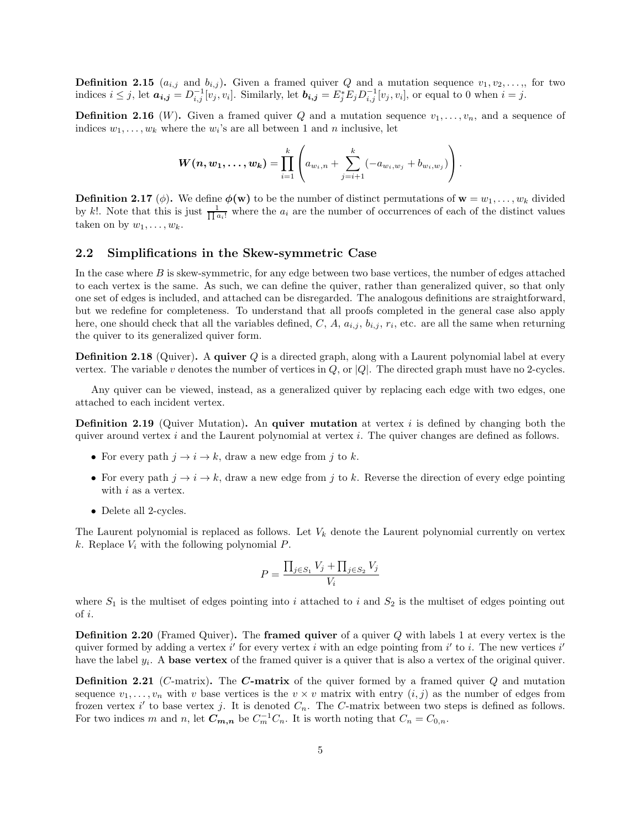**Definition 2.15**  $(a_{i,j}$  and  $b_{i,j}$ . Given a framed quiver Q and a mutation sequence  $v_1, v_2, \ldots,$ , for two indices  $i \leq j$ , let  $a_{i,j} = D_{i,j}^{-1}[v_j, v_i]$ . Similarly, let  $b_{i,j} = E_j^* E_j D_{i,j}^{-1}[v_j, v_i]$ , or equal to 0 when  $i = j$ .

**Definition 2.16** (W). Given a framed quiver Q and a mutation sequence  $v_1, \ldots, v_n$ , and a sequence of indices  $w_1, \ldots, w_k$  where the  $w_i$ 's are all between 1 and *n* inclusive, let

$$
\boldsymbol{W}(\boldsymbol{n}, \boldsymbol{w}_1, \dots, \boldsymbol{w}_k) = \prod_{i=1}^k \left( a_{w_i, n} + \sum_{j=i+1}^k (-a_{w_i, w_j} + b_{w_i, w_j}) \right).
$$

**Definition 2.17** (φ). We define  $\phi(\mathbf{w})$  to be the number of distinct permutations of  $\mathbf{w} = w_1, \dots, w_k$  divided by k!. Note that this is just  $\frac{1}{\prod a_i!}$  where the  $a_i$  are the number of occurrences of each of the distinct values taken on by  $w_1, \ldots, w_k$ .

#### 2.2 Simplifications in the Skew-symmetric Case

In the case where B is skew-symmetric, for any edge between two base vertices, the number of edges attached to each vertex is the same. As such, we can define the quiver, rather than generalized quiver, so that only one set of edges is included, and attached can be disregarded. The analogous definitions are straightforward, but we redefine for completeness. To understand that all proofs completed in the general case also apply here, one should check that all the variables defined,  $C, A, a_{i,j}, b_{i,j}, r_i$ , etc. are all the same when returning the quiver to its generalized quiver form.

**Definition 2.18** (Quiver). A quiver Q is a directed graph, along with a Laurent polynomial label at every vertex. The variable v denotes the number of vertices in  $Q$ , or  $|Q|$ . The directed graph must have no 2-cycles.

Any quiver can be viewed, instead, as a generalized quiver by replacing each edge with two edges, one attached to each incident vertex.

**Definition 2.19** (Quiver Mutation). An **quiver mutation** at vertex  $i$  is defined by changing both the quiver around vertex  $i$  and the Laurent polynomial at vertex  $i$ . The quiver changes are defined as follows.

- For every path  $j \to i \to k$ , draw a new edge from j to k.
- For every path  $j \to i \to k$ , draw a new edge from j to k. Reverse the direction of every edge pointing with  $i$  as a vertex.
- Delete all 2-cycles.

The Laurent polynomial is replaced as follows. Let  $V_k$  denote the Laurent polynomial currently on vertex k. Replace  $V_i$  with the following polynomial  $P$ .

$$
P = \frac{\prod_{j \in S_1} V_j + \prod_{j \in S_2} V_j}{V_i}
$$

where  $S_1$  is the multiset of edges pointing into i attached to i and  $S_2$  is the multiset of edges pointing out of i.

**Definition 2.20** (Framed Quiver). The **framed quiver** of a quiver  $Q$  with labels 1 at every vertex is the quiver formed by adding a vertex i' for every vertex i with an edge pointing from i' to i. The new vertices i' have the label  $y_i$ . A **base vertex** of the framed quiver is a quiver that is also a vertex of the original quiver.

**Definition 2.21** (C-matrix). The C-matrix of the quiver formed by a framed quiver  $Q$  and mutation sequence  $v_1, \ldots, v_n$  with v base vertices is the  $v \times v$  matrix with entry  $(i, j)$  as the number of edges from frozen vertex i' to base vertex j. It is denoted  $C_n$ . The C-matrix between two steps is defined as follows. For two indices m and n, let  $C_{m,n}$  be  $C_m^{-1}C_n$ . It is worth noting that  $C_n = C_{0,n}$ .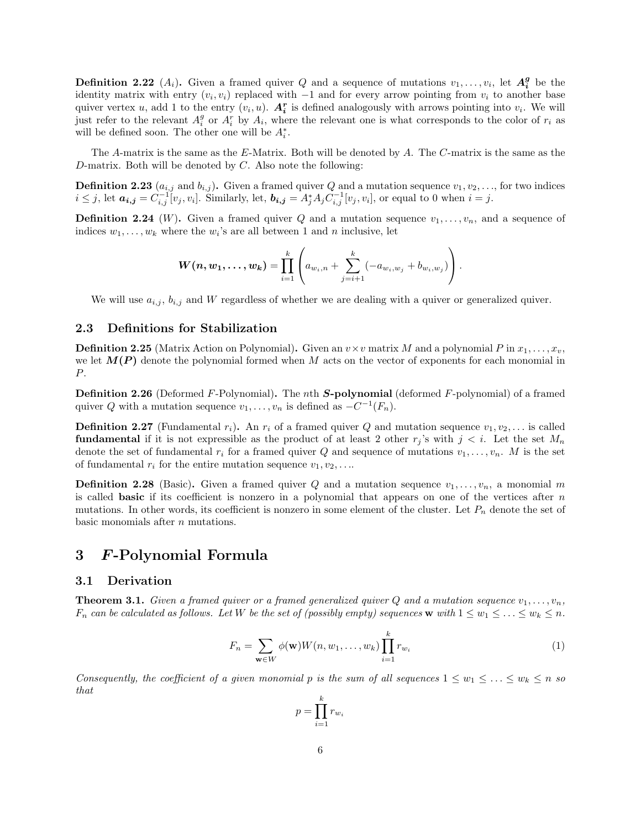**Definition 2.22**  $(A_i)$ . Given a framed quiver Q and a sequence of mutations  $v_1, \ldots, v_i$ , let  $A_i^g$  be the identity matrix with entry  $(v_i, v_i)$  replaced with  $-1$  and for every arrow pointing from  $v_i$  to another base quiver vertex u, add 1 to the entry  $(v_i, u)$ .  $A_i^r$  is defined analogously with arrows pointing into  $v_i$ . We will just refer to the relevant  $A_i^g$  or  $A_i^r$  by  $A_i$ , where the relevant one is what corresponds to the color of  $r_i$  as will be defined soon. The other one will be  $A_i^*$ .

The A-matrix is the same as the E-Matrix. Both will be denoted by A. The C-matrix is the same as the D-matrix. Both will be denoted by  $C$ . Also note the following:

**Definition 2.23**  $(a_{i,j}$  and  $b_{i,j})$ . Given a framed quiver Q and a mutation sequence  $v_1, v_2, \ldots$ , for two indices  $i \leq j$ , let  $a_{i,j} = C_{i,j}^{-1}[v_j, v_i]$ . Similarly, let,  $b_{i,j} = A_j^* A_j C_{i,j}^{-1}[v_j, v_i]$ , or equal to 0 when  $i = j$ .

**Definition 2.24** (W). Given a framed quiver Q and a mutation sequence  $v_1, \ldots, v_n$ , and a sequence of indices  $w_1, \ldots, w_k$  where the  $w_i$ 's are all between 1 and *n* inclusive, let

$$
\boldsymbol{W(n, w_1, \ldots, w_k)} = \prod_{i=1}^k \left( a_{w_i,n} + \sum_{j=i+1}^k (-a_{w_i,w_j} + b_{w_i,w_j}) \right).
$$

We will use  $a_{i,j}$ ,  $b_{i,j}$  and W regardless of whether we are dealing with a quiver or generalized quiver.

#### 2.3 Definitions for Stabilization

**Definition 2.25** (Matrix Action on Polynomial). Given an  $v \times v$  matrix M and a polynomial P in  $x_1, \ldots, x_v$ , we let  $M(P)$  denote the polynomial formed when M acts on the vector of exponents for each monomial in P.

**Definition 2.26** (Deformed F-Polynomial). The nth **S-polynomial** (deformed F-polynomial) of a framed quiver Q with a mutation sequence  $v_1, \ldots, v_n$  is defined as  $-C^{-1}(F_n)$ .

**Definition 2.27** (Fundamental  $r_i$ ). An  $r_i$  of a framed quiver Q and mutation sequence  $v_1, v_2, \ldots$  is called **fundamental** if it is not expressible as the product of at least 2 other  $r_j$ 's with  $j < i$ . Let the set  $M_n$ denote the set of fundamental  $r_i$  for a framed quiver Q and sequence of mutations  $v_1, \ldots, v_n$ . M is the set of fundamental  $r_i$  for the entire mutation sequence  $v_1, v_2, \ldots$ 

**Definition 2.28** (Basic). Given a framed quiver Q and a mutation sequence  $v_1, \ldots, v_n$ , a monomial m is called **basic** if its coefficient is nonzero in a polynomial that appears on one of the vertices after  $n$ mutations. In other words, its coefficient is nonzero in some element of the cluster. Let  $P_n$  denote the set of basic monomials after  $n$  mutations.

### 3 F-Polynomial Formula

### 3.1 Derivation

**Theorem 3.1.** Given a framed quiver or a framed generalized quiver Q and a mutation sequence  $v_1, \ldots, v_n$ ,  $F_n$  can be calculated as follows. Let W be the set of (possibly empty) sequences w with  $1 \leq w_1 \leq \ldots \leq w_k \leq n$ .

$$
F_n = \sum_{\mathbf{w} \in W} \phi(\mathbf{w}) W(n, w_1, \dots, w_k) \prod_{i=1}^k r_{w_i}
$$
 (1)

Consequently, the coefficient of a given monomial p is the sum of all sequences  $1 \leq w_1 \leq \ldots \leq w_k \leq n$  so that

$$
p = \prod_{i=1}^{k} r_{w_i}
$$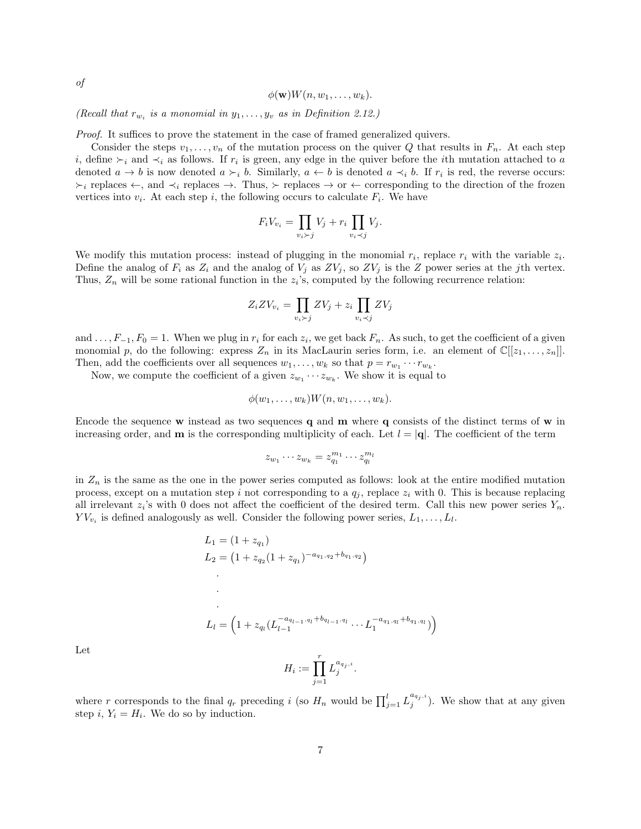$\phi(\mathbf{w})W(n, w_1, \ldots, w_k).$ 

(Recall that  $r_{w_i}$  is a monomial in  $y_1, \ldots, y_v$  as in Definition 2.12.)

Proof. It suffices to prove the statement in the case of framed generalized quivers.

Consider the steps  $v_1, \ldots, v_n$  of the mutation process on the quiver Q that results in  $F_n$ . At each step *i*, define  $\succ_i$  and  $\prec_i$  as follows. If  $r_i$  is green, any edge in the quiver before the *i*th mutation attached to a denoted  $a \to b$  is now denoted  $a \succ_i b$ . Similarly,  $a \leftarrow b$  is denoted  $a \prec_i b$ . If  $r_i$  is red, the reverse occurs:  $\succ_i$  replaces  $\leftarrow$ , and  $\prec_i$  replaces  $\rightarrow$ . Thus,  $\succ$  replaces  $\rightarrow$  or  $\leftarrow$  corresponding to the direction of the frozen vertices into  $v_i$ . At each step i, the following occurs to calculate  $F_i$ . We have

$$
F_i V_{v_i} = \prod_{v_i \succ j} V_j + r_i \prod_{v_i \prec j} V_j.
$$

We modify this mutation process: instead of plugging in the monomial  $r_i$ , replace  $r_i$  with the variable  $z_i$ . Define the analog of  $F_i$  as  $Z_i$  and the analog of  $V_j$  as  $ZV_j$ , so  $ZV_j$  is the Z power series at the jth vertex. Thus,  $Z_n$  will be some rational function in the  $z_i$ 's, computed by the following recurrence relation:

$$
Z_i Z V_{v_i} = \prod_{v_i \succ j} Z V_j + z_i \prod_{v_i \prec j} Z V_j
$$

and  $\dots, F_{-1}, F_0 = 1$ . When we plug in  $r_i$  for each  $z_i$ , we get back  $F_n$ . As such, to get the coefficient of a given monomial p, do the following: express  $Z_n$  in its MacLaurin series form, i.e. an element of  $\mathbb{C}[[z_1, \ldots, z_n]]$ . Then, add the coefficients over all sequences  $w_1, \ldots, w_k$  so that  $p = r_{w_1} \cdots r_{w_k}$ .

Now, we compute the coefficient of a given  $z_{w_1} \cdots z_{w_k}$ . We show it is equal to

$$
\phi(w_1,\ldots,w_k)W(n,w_1,\ldots,w_k).
$$

Encode the sequence w instead as two sequences q and  $\bf{m}$  where  $\bf{q}$  consists of the distinct terms of  $\bf{w}$  in increasing order, and **m** is the corresponding multiplicity of each. Let  $l = |\mathbf{q}|$ . The coefficient of the term

$$
z_{w_1}\cdots z_{w_k}=z_{q_1}^{m_1}\cdots z_{q_l}^{m_l}
$$

in  $Z_n$  is the same as the one in the power series computed as follows: look at the entire modified mutation process, except on a mutation step i not corresponding to a  $q_j$ , replace  $z_i$  with 0. This is because replacing all irrelevant  $z_i$ 's with 0 does not affect the coefficient of the desired term. Call this new power series  $Y_n$ .  $YV_{v_i}$  is defined analogously as well. Consider the following power series,  $L_1, \ldots, L_l$ .

$$
L_1 = (1 + z_{q_1})
$$
  
\n
$$
L_2 = (1 + z_{q_2}(1 + z_{q_1})^{-a_{q_1, q_2} + b_{q_1, q_2}})
$$
  
\n
$$
\vdots
$$
  
\n
$$
L_l = \left(1 + z_{q_l}(L_{l-1}^{-a_{q_{l-1}, q_l} + b_{q_{l-1}, q_l}} \cdots L_1^{-a_{q_1, q_l} + b_{q_1, q_l}})\right)
$$

Let

$$
H_i := \prod_{j=1}^r L_j^{a_{q_j,i}}.
$$

where r corresponds to the final  $q_r$  preceding i (so  $H_n$  would be  $\prod_{j=1}^l L_j^{a_{q_j,i}}$ ). We show that at any given step  $i, Y_i = H_i$ . We do so by induction.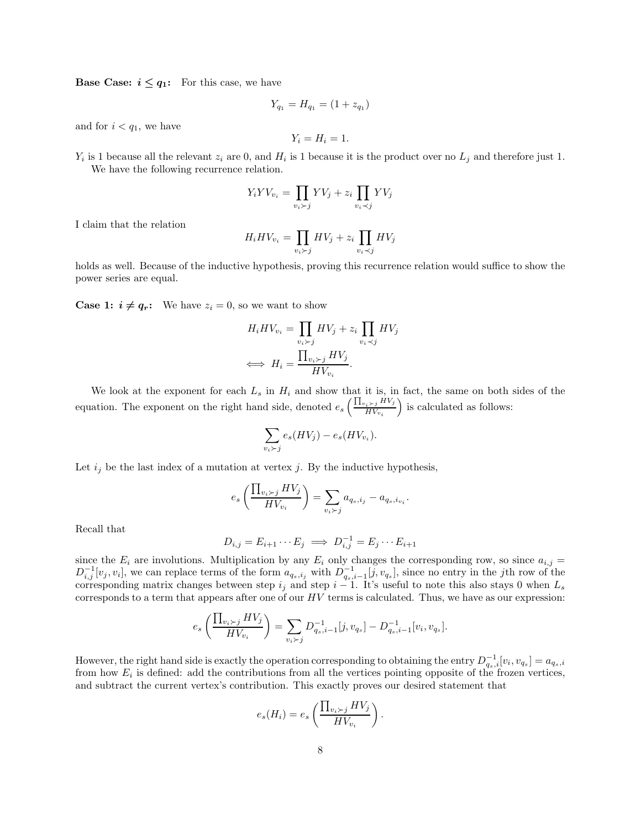**Base Case:**  $i \leq q_1$ : For this case, we have

$$
Y_{q_1} = H_{q_1} = (1 + z_{q_1})
$$

and for  $i < q_1$ , we have

$$
Y_i = H_i = 1.
$$

 $Y_i$  is 1 because all the relevant  $z_i$  are 0, and  $H_i$  is 1 because it is the product over no  $L_j$  and therefore just 1. We have the following recurrence relation.

$$
Y_i Y V_{v_i} = \prod_{v_i \succ j} Y V_j + z_i \prod_{v_i \prec j} Y V_j
$$

I claim that the relation

$$
H_i H V_{v_i} = \prod_{v_i \succ j} H V_j + z_i \prod_{v_i \prec j} H V_j
$$

holds as well. Because of the inductive hypothesis, proving this recurrence relation would suffice to show the power series are equal.

**Case 1:**  $i \neq q_r$ : We have  $z_i = 0$ , so we want to show

$$
H_i H V_{v_i} = \prod_{v_i \succ j} H V_j + z_i \prod_{v_i \prec j} H V_j
$$
  

$$
\iff H_i = \frac{\prod_{v_i \succ j} H V_j}{H V_{v_i}}.
$$

We look at the exponent for each  $L_s$  in  $H_i$  and show that it is, in fact, the same on both sides of the equation. The exponent on the right hand side, denoted  $e_s \left( \frac{\prod_{v_i \succ j} HV_i}{HV_w} \right)$  $HV_{v_i}$ is calculated as follows:

$$
\sum_{v_i \succ j} e_s(HV_j) - e_s(HV_{v_i}).
$$

Let  $i_j$  be the last index of a mutation at vertex j. By the inductive hypothesis,

$$
e_s\left(\frac{\prod_{v_i\succ j}HV_j}{HV_{v_i}}\right)=\sum_{v_i\succ j}a_{q_s,i_j}-a_{q_s,i_{v_i}}.
$$

Recall that

$$
D_{i,j} = E_{i+1} \cdots E_j \implies D_{i,j}^{-1} = E_j \cdots E_{i+1}
$$

since the  $E_i$  are involutions. Multiplication by any  $E_i$  only changes the corresponding row, so since  $a_{i,j}$  $D_{i,j}^{-1}[v_j, v_i]$ , we can replace terms of the form  $a_{q_s,i_j}$  with  $D_{q_s,i-1}^{-1}[j, v_{q_s}]$ , since no entry in the jth row of the corresponding matrix changes between step  $i_j$  and step  $i - 1$ . It's useful to note this also stays 0 when  $L_s$ corresponds to a term that appears after one of our  $HV$  terms is calculated. Thus, we have as our expression:

$$
e_s\left(\frac{\prod_{v_i \succ j}HV_j}{HV_{v_i}}\right) = \sum_{v_i \succ j} D_{q_s,i-1}^{-1}[j,v_{q_s}] - D_{q_s,i-1}^{-1}[v_i,v_{q_s}].
$$

However, the right hand side is exactly the operation corresponding to obtaining the entry  $D_{q_s,i}^{-1}[v_i,v_{q_s}]=a_{q_s,i}$ from how  $E_i$  is defined: add the contributions from all the vertices pointing opposite of the frozen vertices, and subtract the current vertex's contribution. This exactly proves our desired statement that

$$
e_s(H_i) = e_s\left(\frac{\prod_{v_i \succ j}HV_j}{HV_{v_i}}\right).
$$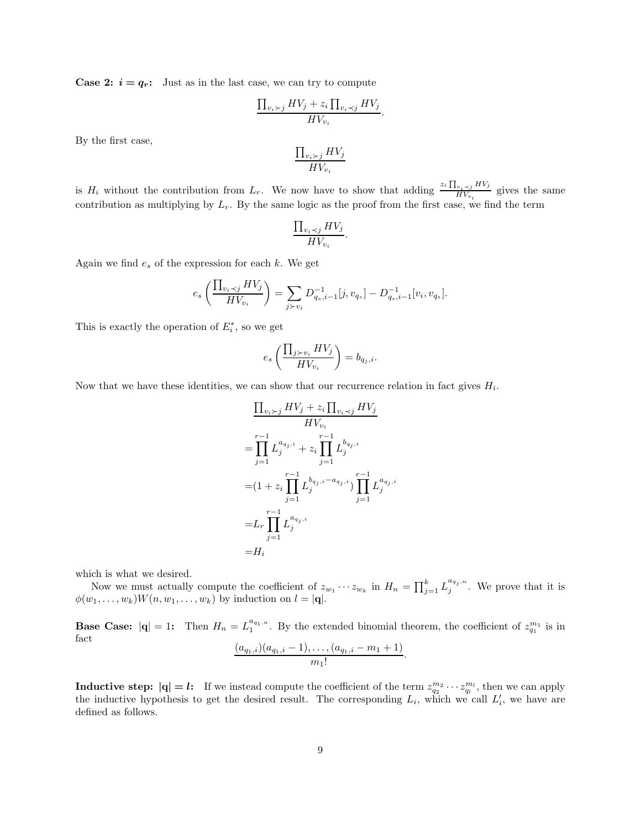**Case 2:**  $i = q_r$ : Just as in the last case, we can try to compute

$$
\frac{\prod_{v_i \succ j} HV_j + z_i \prod_{v_i \prec j} HV_j}{HV_{v_i}}.
$$

By the first case,

$$
\frac{\prod_{v_i \succ j}HV_j}{HV_{v_i}}
$$

is  $H_i$  without the contribution from  $L_r$ . We now have to show that adding  $\frac{z_i \prod_{v_i \prec j} HV_j}{HV_w}$  $\frac{W_i \prec j \cdots y}{HV_{v_i}}$  gives the same contribution as multiplying by  $L_r$ . By the same logic as the proof from the first case, we find the term

$$
\frac{\prod_{v_i \prec j} HV_j}{HV_{v_i}}.
$$

Again we find  $e_s$  of the expression for each  $k$ . We get

$$
e_s\left(\frac{\prod_{v_i \prec j}HV_j}{HV_{v_i}}\right) = \sum_{j \succ v_i} D_{q_s,i-1}^{-1}[j,v_{q_s}] - D_{q_s,i-1}^{-1}[v_i,v_{q_s}].
$$

This is exactly the operation of  $E_i^*$ , so we get

$$
e_s\left(\frac{\prod_{j\succ v_i}HV_j}{HV_{v_i}}\right)=b_{q_j,i}.
$$

Now that we have these identities, we can show that our recurrence relation in fact gives  $H_i$ .

$$
\frac{\prod_{v_i \succ j} HV_j + z_i \prod_{v_i \prec j} HV_j}{HV_{v_i}}
$$
\n
$$
= \prod_{j=1}^{r-1} L_j^{a_{q_j,i}} + z_i \prod_{j=1}^{r-1} L_j^{b_{q_j,i}}
$$
\n
$$
= (1 + z_i \prod_{j=1}^{r-1} L_j^{b_{q_j,i} - a_{q_j,i}}) \prod_{j=1}^{r-1} L_j^{a_{q_j,i}}
$$
\n
$$
= L_r \prod_{j=1}^{r-1} L_j^{a_{q_j,i}}
$$
\n
$$
= H_i
$$

which is what we desired.

Now we must actually compute the coefficient of  $z_{w_1} \cdots z_{w_k}$  in  $H_n = \prod_{j=1}^k L_j^{a_{q_j,n}}$ . We prove that it is  $\phi(w_1, \ldots, w_k)W(n, w_1, \ldots, w_k)$  by induction on  $l = |\mathbf{q}|$ .

**Base Case:**  $|q| = 1$ : Then  $H_n = L_1^{a_{q_1,n}}$ . By the extended binomial theorem, the coefficient of  $z_{q_1}^{m_1}$  is in fact  $(a_{q_1,i})(a_{q_1,i}-1), \ldots, (a_{q_1,i}-m_1+1)$  $\frac{m_1!}{m_1!}$ .

**Inductive step:** 
$$
|\mathbf{q}| = l
$$
: If we instead compute the coefficient of the term  $z_{q_2}^{m_2} \cdots z_{q_l}^{m_l}$ , then we can apply the inductive hypothesis to get the desired result. The corresponding  $L_i$ , which we call  $L'_i$ , we have are defined as follows.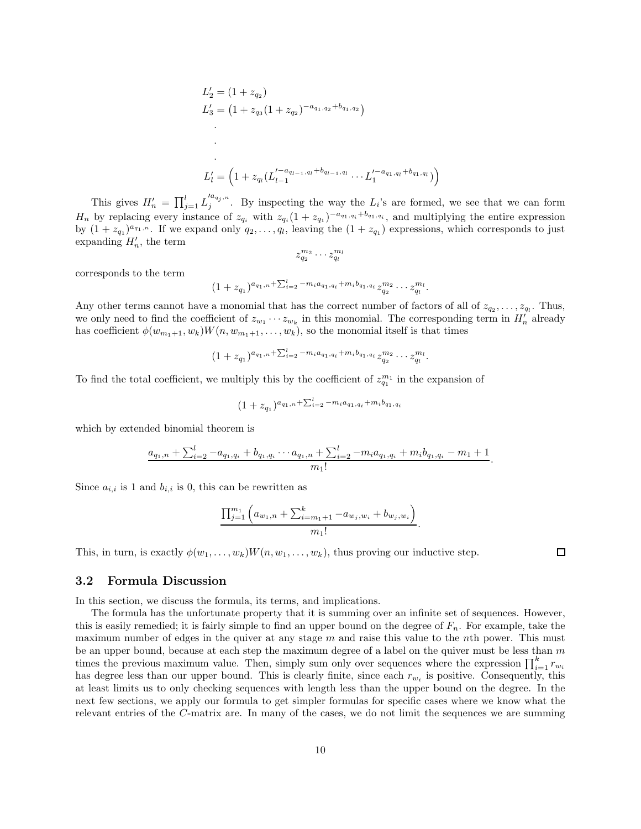$$
L'_{2} = (1 + z_{q_{2}})
$$
  
\n
$$
L'_{3} = (1 + z_{q_{3}}(1 + z_{q_{2}})^{-a_{q_{1},q_{2}}+b_{q_{1},q_{2}}})
$$
  
\n
$$
\vdots
$$
  
\n
$$
L'_{l} = (1 + z_{q_{l}}(L'^{-a_{q_{l-1},q_{l}}+b_{q_{l-1},q_{l}}}\cdots L'^{-a_{q_{1},q_{l}}+b_{q_{1},q_{l}}}_{1})
$$

This gives  $H'_n = \prod_{j=1}^l L_j'^{a_{q_j,n}}$ . By inspecting the way the  $L_i$ 's are formed, we see that we can form  $H_n$  by replacing every instance of  $z_{q_i}$  with  $z_{q_i}(1+z_{q_1})^{-a_{q_1,q_i}+b_{q_1,q_i}}$ , and multiplying the entire expression by  $(1 + z_{q_1})^{a_{q_1,n}}$ . If we expand only  $q_2,\ldots,q_l$ , leaving the  $(1 + z_{q_1})$  expressions, which corresponds to just expanding  $H'_n$ , the term

 $\overline{ }$ 

$$
z_{q_2}^{m_2} \cdots z_{q_l}^{m_l}
$$

corresponds to the term

 $(1+z_{q_1})^{a_{q_1,n}+\sum_{i=2}^l -m_i a_{q_1,q_i}+m_i b_{q_1,q_i}} z_{q_2}^{m_2} \cdots z_{q_l}^{m_l}.$ 

Any other terms cannot have a monomial that has the correct number of factors of all of  $z_{q_2}, \ldots, z_{q_l}$ . Thus, we only need to find the coefficient of  $z_{w_1} \cdots z_{w_k}$  in this monomial. The corresponding term in  $H'_n$  already has coefficient  $\phi(w_{m_1+1}, w_k)W(n, w_{m_1+1}, \ldots, w_k)$ , so the monomial itself is that times

$$
(1+z_{q_1})^{a_{q_1,n}+\sum_{i=2}^l-m_i a_{q_1,q_i}+m_i b_{q_1,q_i}} z_{q_2}^{m_2} \cdots z_{q_l}^{m_l}.
$$

To find the total coefficient, we multiply this by the coefficient of  $z_{q_1}^{m_1}$  in the expansion of

$$
(1 + z_{q_1})^{a_{q_1,n} + \sum_{i=2}^{l} -m_i a_{q_1,q_i} + m_i b_{q_1,q_i}}
$$

which by extended binomial theorem is

$$
\frac{a_{q_1,n} + \sum_{i=2}^l -a_{q_1,q_i} + b_{q_1,q_i} \cdots a_{q_1,n} + \sum_{i=2}^l -m_i a_{q_1,q_i} + m_i b_{q_1,q_i} - m_1 + 1}{m_1!}.
$$

Since  $a_{i,i}$  is 1 and  $b_{i,i}$  is 0, this can be rewritten as

$$
\frac{\prod_{j=1}^{m_1} \left( a_{w_1,n} + \sum_{i=m_1+1}^k -a_{w_j,w_i} + b_{w_j,w_i} \right)}{m_1!}.
$$

This, in turn, is exactly  $\phi(w_1, \ldots, w_k)W(n, w_1, \ldots, w_k)$ , thus proving our inductive step.

# 3.2 Formula Discussion

In this section, we discuss the formula, its terms, and implications.

The formula has the unfortunate property that it is summing over an infinite set of sequences. However, this is easily remedied; it is fairly simple to find an upper bound on the degree of  $F_n$ . For example, take the maximum number of edges in the quiver at any stage  $m$  and raise this value to the nth power. This must be an upper bound, because at each step the maximum degree of a label on the quiver must be less than  $m$ times the previous maximum value. Then, simply sum only over sequences where the expression  $\prod_{i=1}^{k} r_{w_i}$ has degree less than our upper bound. This is clearly finite, since each  $r_{w_i}$  is positive. Consequently, this at least limits us to only checking sequences with length less than the upper bound on the degree. In the next few sections, we apply our formula to get simpler formulas for specific cases where we know what the relevant entries of the C-matrix are. In many of the cases, we do not limit the sequences we are summing

 $\Box$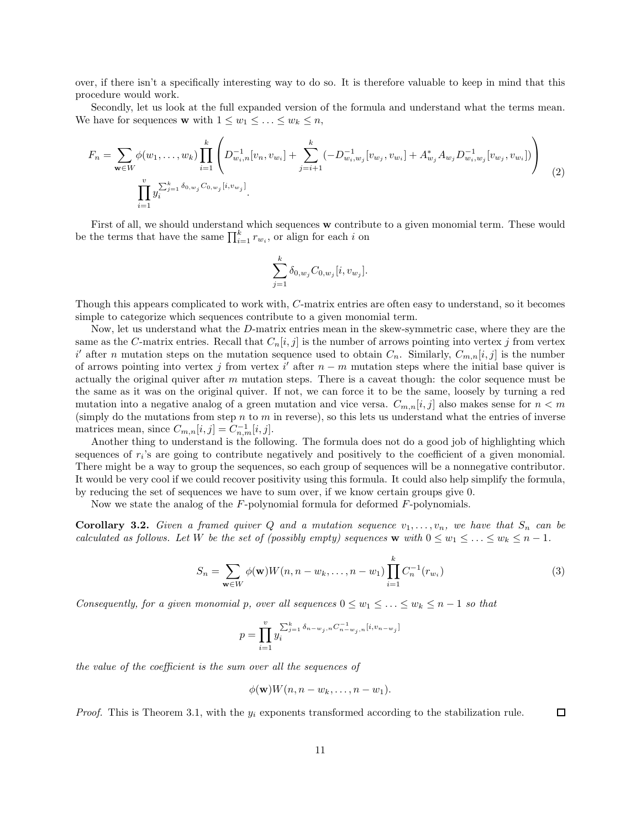over, if there isn't a specifically interesting way to do so. It is therefore valuable to keep in mind that this procedure would work.

Secondly, let us look at the full expanded version of the formula and understand what the terms mean. We have for sequences **w** with  $1 \leq w_1 \leq \ldots \leq w_k \leq n$ ,

$$
F_n = \sum_{\mathbf{w} \in W} \phi(w_1, \dots, w_k) \prod_{i=1}^k \left( D_{w_i, n}^{-1} [v_n, v_{w_i}] + \sum_{j=i+1}^k (-D_{w_i, w_j}^{-1} [v_{w_j}, v_{w_i}] + A_{w_j}^* A_{w_j} D_{w_i, w_j}^{-1} [v_{w_j}, v_{w_i}]) \right)
$$
  

$$
\prod_{i=1}^v y_i^{\sum_{j=1}^k \delta_{0, w_j} C_{0, w_j} [i, v_{w_j}]}.
$$
 (2)

First of all, we should understand which sequences w contribute to a given monomial term. These would be the terms that have the same  $\prod_{i=1}^{k} r_{w_i}$ , or align for each i on

$$
\sum_{j=1}^{k} \delta_{0,w_j} C_{0,w_j} [i, v_{w_j}].
$$

Though this appears complicated to work with, C-matrix entries are often easy to understand, so it becomes simple to categorize which sequences contribute to a given monomial term.

Now, let us understand what the D-matrix entries mean in the skew-symmetric case, where they are the same as the C-matrix entries. Recall that  $C_n[i, j]$  is the number of arrows pointing into vertex j from vertex  $i'$  after n mutation steps on the mutation sequence used to obtain  $C_n$ . Similarly,  $C_{m,n}[i,j]$  is the number of arrows pointing into vertex j from vertex i' after  $n - m$  mutation steps where the initial base quiver is actually the original quiver after  $m$  mutation steps. There is a caveat though: the color sequence must be the same as it was on the original quiver. If not, we can force it to be the same, loosely by turning a red mutation into a negative analog of a green mutation and vice versa.  $C_{m,n}[i,j]$  also makes sense for  $n < m$ (simply do the mutations from step n to  $m$  in reverse), so this lets us understand what the entries of inverse matrices mean, since  $C_{m,n}[i,j] = C_{n,m}^{-1}[i,j]$ .

Another thing to understand is the following. The formula does not do a good job of highlighting which sequences of  $r_i$ 's are going to contribute negatively and positively to the coefficient of a given monomial. There might be a way to group the sequences, so each group of sequences will be a nonnegative contributor. It would be very cool if we could recover positivity using this formula. It could also help simplify the formula, by reducing the set of sequences we have to sum over, if we know certain groups give 0.

Now we state the analog of the F-polynomial formula for deformed F-polynomials.

**Corollary 3.2.** Given a framed quiver Q and a mutation sequence  $v_1, \ldots, v_n$ , we have that  $S_n$  can be calculated as follows. Let W be the set of (possibly empty) sequences w with  $0 \leq w_1 \leq \ldots \leq w_k \leq n-1$ .

$$
S_n = \sum_{\mathbf{w} \in W} \phi(\mathbf{w}) W(n, n - w_k, \dots, n - w_1) \prod_{i=1}^k C_n^{-1}(r_{w_i})
$$
(3)

Consequently, for a given monomial p, over all sequences  $0 \leq w_1 \leq \ldots \leq w_k \leq n-1$  so that

$$
p = \prod_{i=1}^v y_i^{\sum_{j=1}^k \delta_{n-w_j,n} C_{n-w_j,n}^{-1} [i, v_{n-w_j}]}
$$

the value of the coefficient is the sum over all the sequences of

$$
\phi(\mathbf{w})W(n,n-w_k,\ldots,n-w_1).
$$

*Proof.* This is Theorem 3.1, with the  $y_i$  exponents transformed according to the stabilization rule.  $\Box$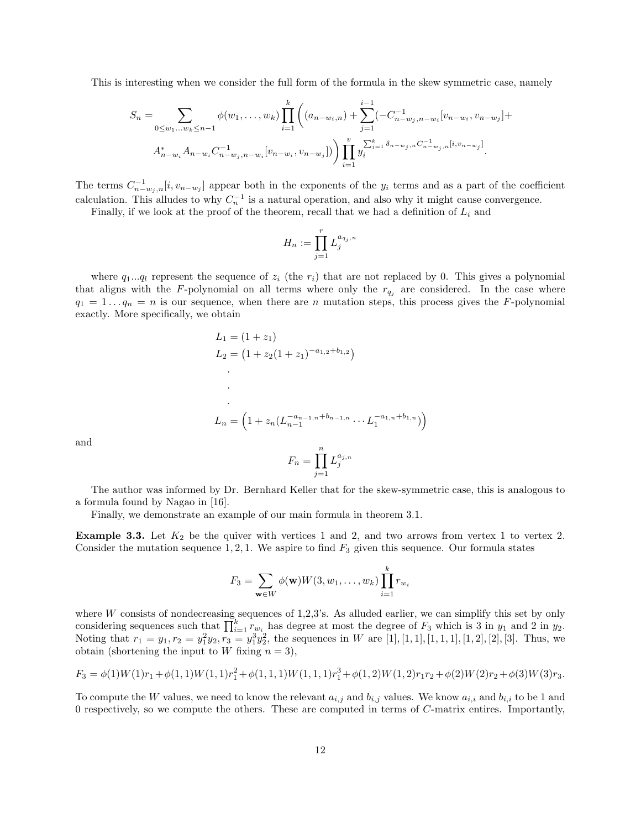This is interesting when we consider the full form of the formula in the skew symmetric case, namely

$$
S_n = \sum_{0 \le w_1...w_k \le n-1} \phi(w_1,...,w_k) \prod_{i=1}^k \left( (a_{n-w_i,n}) + \sum_{j=1}^{i-1} (-C_{n-w_j,n-w_i}^{-1} [v_{n-w_i}, v_{n-w_j}] + A_{n-w_i}^* A_{n-w_i} C_{n-w_j,n-w_i}^{-1} [v_{n-w_i}, v_{n-w_j}] \right) \prod_{i=1}^v y_i^{\sum_{j=1}^k \delta_{n-w_j,n} C_{n-w_j,n}^{-1} [i, v_{n-w_j}]}.
$$

The terms  $C_{n-w_j,n}^{-1}[i,v_{n-w_j}]$  appear both in the exponents of the y<sub>i</sub> terms and as a part of the coefficient calculation. This alludes to why  $C_n^{-1}$  is a natural operation, and also why it might cause convergence.

Finally, if we look at the proof of the theorem, recall that we had a definition of  $L_i$  and

$$
H_n:=\prod_{j=1}^r L_j^{a_{q_j,n}}
$$

where  $q_1...q_l$  represent the sequence of  $z_i$  (the  $r_i$ ) that are not replaced by 0. This gives a polynomial that aligns with the F-polynomial on all terms where only the  $r_{q_i}$  are considered. In the case where  $q_1 = 1 \ldots q_n = n$  is our sequence, when there are n mutation steps, this process gives the F-polynomial exactly. More specifically, we obtain

$$
L_1 = (1 + z_1)
$$
  
\n
$$
L_2 = (1 + z_2(1 + z_1)^{-a_{1,2} + b_{1,2}})
$$
  
\n
$$
\vdots
$$
  
\n
$$
L_n = \left(1 + z_n(L_{n-1}^{-a_{n-1,n} + b_{n-1,n}} \cdots L_1^{-a_{1,n} + b_{1,n}})\right)
$$

and

$$
F_n = \prod_{j=1}^n L_j^{a_{j,n}}
$$

The author was informed by Dr. Bernhard Keller that for the skew-symmetric case, this is analogous to a formula found by Nagao in [16].

Finally, we demonstrate an example of our main formula in theorem 3.1.

**Example 3.3.** Let  $K_2$  be the quiver with vertices 1 and 2, and two arrows from vertex 1 to vertex 2. Consider the mutation sequence 1, 2, 1. We aspire to find  $F_3$  given this sequence. Our formula states

$$
F_3 = \sum_{\mathbf{w}\in W} \phi(\mathbf{w})W(3, w_1, \dots, w_k) \prod_{i=1}^k r_{w_i}
$$

where  $W$  consists of nondecreasing sequences of 1,2,3's. As alluded earlier, we can simplify this set by only considering sequences such that  $\prod_{i=1}^{k} r_{w_i}$  has degree at most the degree of  $F_3$  which is 3 in  $y_1$  and 2 in  $y_2$ . Noting that  $r_1 = y_1, r_2 = y_1^2y_2, r_3 = y_1^3y_2^2$ , the sequences in W are [1], [1, 1], [1, 1, 1], [1, 2], [2], [3]. Thus, we obtain (shortening the input to W fixing  $n = 3$ ),

$$
F_3 = \phi(1)W(1)r_1 + \phi(1,1)W(1,1)r_1^2 + \phi(1,1,1)W(1,1,1)r_1^3 + \phi(1,2)W(1,2)r_1r_2 + \phi(2)W(2)r_2 + \phi(3)W(3)r_3.
$$

To compute the W values, we need to know the relevant  $a_{i,j}$  and  $b_{i,j}$  values. We know  $a_{i,i}$  and  $b_{i,i}$  to be 1 and 0 respectively, so we compute the others. These are computed in terms of C-matrix entires. Importantly,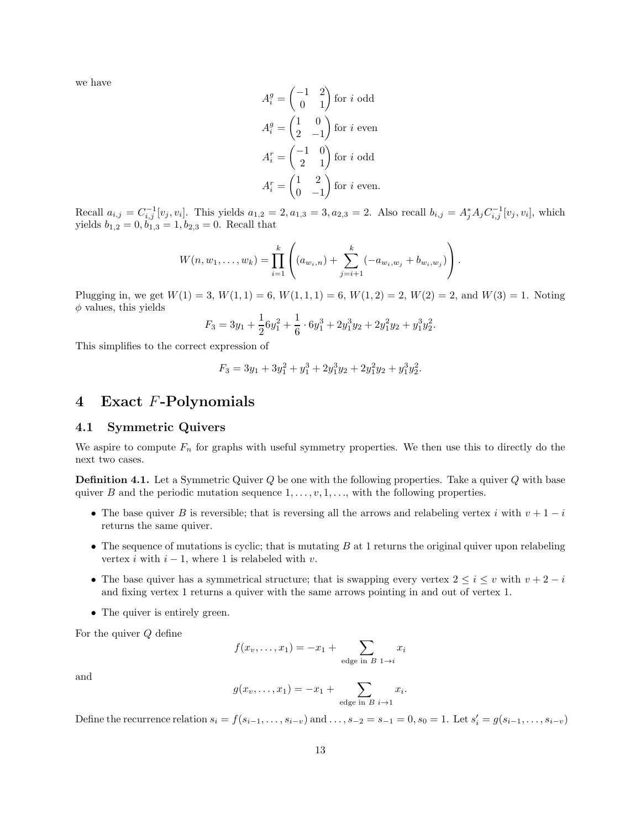we have

$$
A_i^g = \begin{pmatrix} -1 & 2 \\ 0 & 1 \end{pmatrix}
$$
 for  $i$  odd  

$$
A_i^g = \begin{pmatrix} 1 & 0 \\ 2 & -1 \end{pmatrix}
$$
 for  $i$  even  

$$
A_i^r = \begin{pmatrix} -1 & 0 \\ 2 & 1 \end{pmatrix}
$$
 for  $i$  odd  

$$
A_i^r = \begin{pmatrix} 1 & 2 \\ 0 & -1 \end{pmatrix}
$$
 for  $i$  even.

Recall  $a_{i,j} = C_{i,j}^{-1}[v_j, v_i]$ . This yields  $a_{1,2} = 2, a_{1,3} = 3, a_{2,3} = 2$ . Also recall  $b_{i,j} = A_j^* A_j C_{i,j}^{-1}[v_j, v_i]$ , which yields  $b_{1,2} = 0, b_{1,3} = 1, b_{2,3} = 0$ . Recall that

$$
W(n, w_1, \ldots, w_k) = \prod_{i=1}^k \left( (a_{w_i,n}) + \sum_{j=i+1}^k (-a_{w_i,w_j} + b_{w_i,w_j}) \right).
$$

Plugging in, we get  $W(1) = 3$ ,  $W(1, 1) = 6$ ,  $W(1, 1, 1) = 6$ ,  $W(1, 2) = 2$ ,  $W(2) = 2$ , and  $W(3) = 1$ . Noting  $\phi$  values, this yields

$$
F_3 = 3y_1 + \frac{1}{2}6y_1^2 + \frac{1}{6} \cdot 6y_1^3 + 2y_1^3y_2 + 2y_1^2y_2 + y_1^3y_2^2.
$$

This simplifies to the correct expression of

$$
F_3 = 3y_1 + 3y_1^2 + y_1^3 + 2y_1^3y_2 + 2y_1^2y_2 + y_1^3y_2^2.
$$

## 4 Exact F-Polynomials

#### 4.1 Symmetric Quivers

We aspire to compute  $F_n$  for graphs with useful symmetry properties. We then use this to directly do the next two cases.

**Definition 4.1.** Let a Symmetric Quiver Q be one with the following properties. Take a quiver Q with base quiver B and the periodic mutation sequence  $1, \ldots, v, 1, \ldots$ , with the following properties.

- The base quiver B is reversible; that is reversing all the arrows and relabeling vertex i with  $v + 1 i$ returns the same quiver.
- The sequence of mutations is cyclic; that is mutating  $B$  at 1 returns the original quiver upon relabeling vertex i with  $i - 1$ , where 1 is relabeled with v.
- The base quiver has a symmetrical structure; that is swapping every vertex  $2 \leq i \leq v$  with  $v + 2 i$ and fixing vertex 1 returns a quiver with the same arrows pointing in and out of vertex 1.
- The quiver is entirely green.

For the quiver Q define

$$
f(x_v,...,x_1) = -x_1 + \sum_{\text{edge in } B} x_i
$$

and

$$
g(x_v, \ldots, x_1) = -x_1 + \sum_{\text{edge in } B} x_i.
$$

Define the recurrence relation  $s_i = f(s_{i-1}, \ldots, s_{i-v})$  and  $\ldots, s_{-2} = s_{-1} = 0, s_0 = 1$ . Let  $s'_i = g(s_{i-1}, \ldots, s_{i-v})$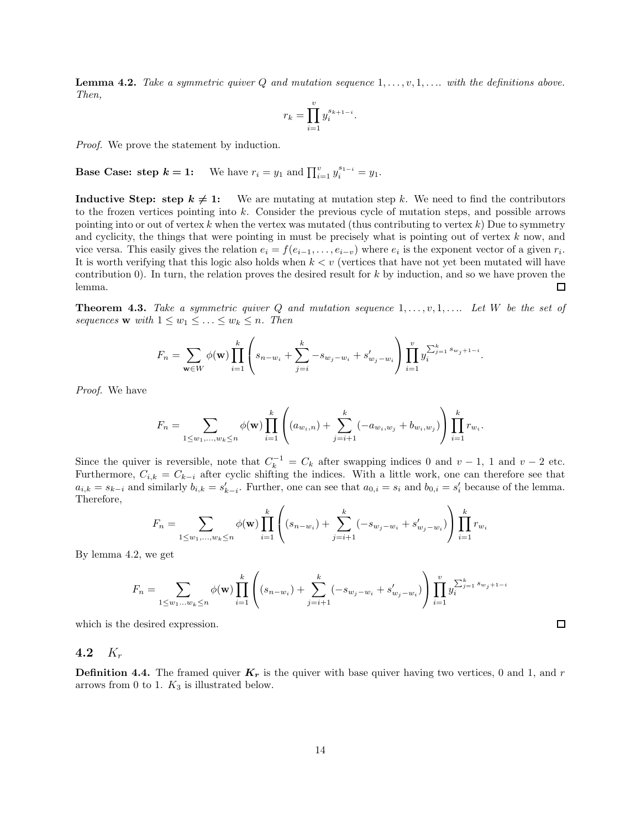**Lemma 4.2.** Take a symmetric quiver Q and mutation sequence  $1, \ldots, v, 1, \ldots$  with the definitions above. Then,

$$
r_k = \prod_{i=1}^{v} y_i^{s_{k+1-i}}.
$$

Proof. We prove the statement by induction.

**Base Case: step**  $k = 1$ **:** We have  $r_i = y_1$  and  $\prod_{i=1}^{v} y_i^{s_{1-i}} = y_1$ .

**Inductive Step: step**  $k \neq 1$ **:** We are mutating at mutation step k. We need to find the contributors to the frozen vertices pointing into k. Consider the previous cycle of mutation steps, and possible arrows pointing into or out of vertex k when the vertex was mutated (thus contributing to vertex  $k$ ) Due to symmetry and cyclicity, the things that were pointing in must be precisely what is pointing out of vertex  $k$  now, and vice versa. This easily gives the relation  $e_i = f(e_{i-1}, \ldots, e_{i-v})$  where  $e_i$  is the exponent vector of a given  $r_i$ . It is worth verifying that this logic also holds when  $k < v$  (vertices that have not yet been mutated will have contribution  $(0)$ . In turn, the relation proves the desired result for k by induction, and so we have proven the  $\Box$ lemma.

**Theorem 4.3.** Take a symmetric quiver Q and mutation sequence  $1, \ldots, v, 1, \ldots$  Let W be the set of sequences **w** with  $1 \leq w_1 \leq \ldots \leq w_k \leq n$ . Then

$$
F_n = \sum_{\mathbf{w} \in W} \phi(\mathbf{w}) \prod_{i=1}^k \left( s_{n-w_i} + \sum_{j=i}^k -s_{w_j-w_i} + s'_{w_j-w_i} \right) \prod_{i=1}^v y_i^{\sum_{j=1}^k s_{w_j+1-i}}.
$$

Proof. We have

$$
F_n = \sum_{1 \leq w_1, \dots, w_k \leq n} \phi(\mathbf{w}) \prod_{i=1}^k \left( (a_{w_i,n}) + \sum_{j=i+1}^k (-a_{w_i,w_j} + b_{w_i,w_j}) \right) \prod_{i=1}^k r_{w_i}.
$$

Since the quiver is reversible, note that  $C_k^{-1} = C_k$  after swapping indices 0 and  $v - 1$ , 1 and  $v - 2$  etc. Furthermore,  $C_{i,k} = C_{k-i}$  after cyclic shifting the indices. With a little work, one can therefore see that  $a_{i,k} = s_{k-i}$  and similarly  $b_{i,k} = s'_{k-i}$ . Further, one can see that  $a_{0,i} = s_i$  and  $b_{0,i} = s'_{i}$  because of the lemma. Therefore,

$$
F_n = \sum_{1 \le w_1, \dots, w_k \le n} \phi(\mathbf{w}) \prod_{i=1}^k \left( (s_{n-w_i}) + \sum_{j=i+1}^k (-s_{w_j - w_i} + s'_{w_j - w_i}) \right) \prod_{i=1}^k r_{w_i}
$$

By lemma 4.2, we get

$$
F_n = \sum_{1 \le w_1 \dots w_k \le n} \phi(\mathbf{w}) \prod_{i=1}^k \left( (s_{n-w_i}) + \sum_{j=i+1}^k (-s_{w_j - w_i} + s'_{w_j - w_i}) \right) \prod_{i=1}^v y_i^{\sum_{j=1}^k s_{w_j + 1 - i}}
$$

which is the desired expression.

#### 4.2  $K_r$

**Definition 4.4.** The framed quiver  $K_r$  is the quiver with base quiver having two vertices, 0 and 1, and r arrows from 0 to 1.  $K_3$  is illustrated below.

 $\Box$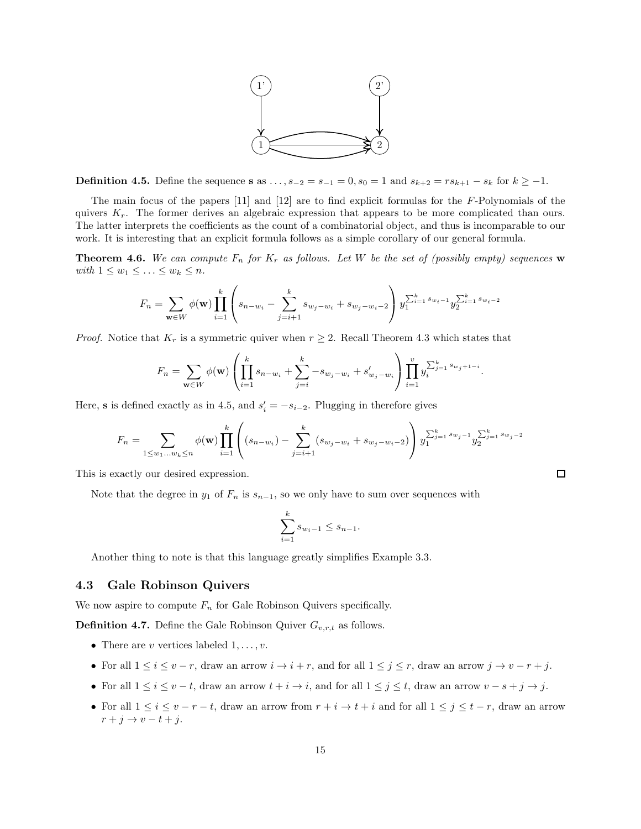

**Definition 4.5.** Define the sequence **s** as  $\dots$ ,  $s_{-2} = s_{-1} = 0$ ,  $s_0 = 1$  and  $s_{k+2} = rs_{k+1} - s_k$  for  $k \ge -1$ .

The main focus of the papers [11] and [12] are to find explicit formulas for the F-Polynomials of the quivers  $K_r$ . The former derives an algebraic expression that appears to be more complicated than ours. The latter interprets the coefficients as the count of a combinatorial object, and thus is incomparable to our work. It is interesting that an explicit formula follows as a simple corollary of our general formula.

**Theorem 4.6.** We can compute  $F_n$  for  $K_r$  as follows. Let W be the set of (possibly empty) sequences w with  $1 \leq w_1 \leq \ldots \leq w_k \leq n$ .

$$
F_n = \sum_{\mathbf{w} \in W} \phi(\mathbf{w}) \prod_{i=1}^k \left( s_{n-w_i} - \sum_{j=i+1}^k s_{w_j - w_i} + s_{w_j - w_i - 2} \right) y_1^{\sum_{i=1}^k s_{w_i - 1}} y_2^{\sum_{i=1}^k s_{w_i - 2}}
$$

*Proof.* Notice that  $K_r$  is a symmetric quiver when  $r \geq 2$ . Recall Theorem 4.3 which states that

$$
F_n = \sum_{\mathbf{w} \in W} \phi(\mathbf{w}) \left( \prod_{i=1}^k s_{n-w_i} + \sum_{j=i}^k -s_{w_j-w_i} + s'_{w_j-w_i} \right) \prod_{i=1}^v y_i^{\sum_{j=1}^k s_{w_j+1-i}}.
$$

Here, **s** is defined exactly as in 4.5, and  $s_i' = -s_{i-2}$ . Plugging in therefore gives

$$
F_n = \sum_{1 \leq w_1 \dots w_k \leq n} \phi(\mathbf{w}) \prod_{i=1}^k \left( (s_{n-w_i}) - \sum_{j=i+1}^k (s_{w_j - w_i} + s_{w_j - w_i - 2}) \right) y_1^{\sum_{j=1}^k s_{w_j - 1}} y_2^{\sum_{j=1}^k s_{w_j - 2}}
$$

 $\Box$ 

This is exactly our desired expression.

Note that the degree in  $y_1$  of  $F_n$  is  $s_{n-1}$ , so we only have to sum over sequences with

$$
\sum_{i=1}^{k} s_{w_i - 1} \le s_{n-1}.
$$

Another thing to note is that this language greatly simplifies Example 3.3.

#### 4.3 Gale Robinson Quivers

We now aspire to compute  $F_n$  for Gale Robinson Quivers specifically.

**Definition 4.7.** Define the Gale Robinson Quiver  $G_{v,r,t}$  as follows.

- There are v vertices labeled  $1, \ldots, v$ .
- For all  $1 \le i \le v-r$ , draw an arrow  $i \to i+r$ , and for all  $1 \le j \le r$ , draw an arrow  $j \to v-r+j$ .
- For all  $1 \leq i \leq v-t$ , draw an arrow  $t + i \rightarrow i$ , and for all  $1 \leq j \leq t$ , draw an arrow  $v s + j \rightarrow j$ .
- For all  $1 \leq i \leq v-r-t$ , draw an arrow from  $r+i \to t+i$  and for all  $1 \leq j \leq t-r$ , draw an arrow  $r + j \rightarrow v - t + j.$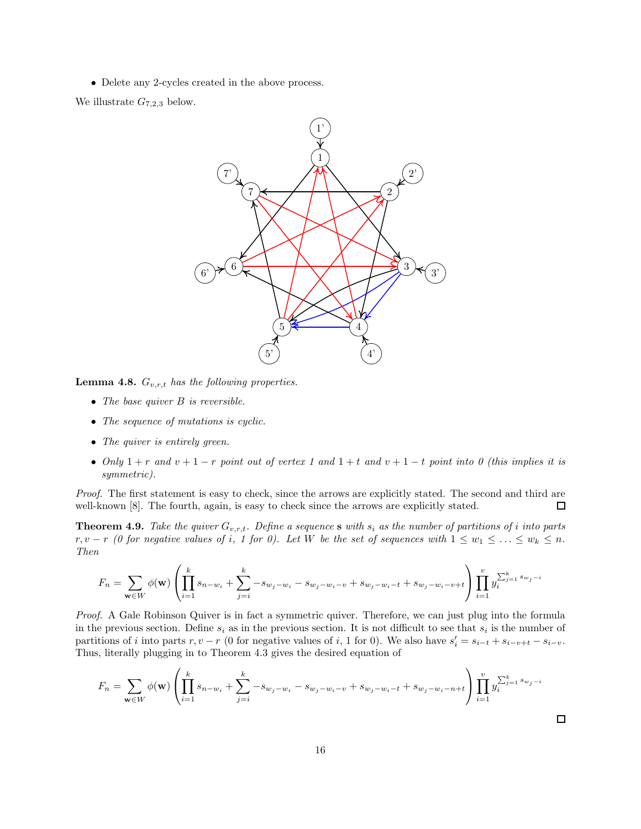• Delete any 2-cycles created in the above process.

We illustrate  $G_{7,2,3}$  below.



**Lemma 4.8.**  $G_{v,r,t}$  has the following properties.

- The base quiver  $B$  is reversible.
- The sequence of mutations is cyclic.
- The quiver is entirely green.
- Only  $1 + r$  and  $v + 1 r$  point out of vertex 1 and  $1 + t$  and  $v + 1 t$  point into 0 (this implies it is symmetric).

Proof. The first statement is easy to check, since the arrows are explicitly stated. The second and third are well-known [8]. The fourth, again, is easy to check since the arrows are explicitly stated.  $\Box$ 

**Theorem 4.9.** Take the quiver  $G_{v,r,t}$ . Define a sequence s with  $s_i$  as the number of partitions of i into parts  $r, v - r$  (0 for negative values of i, 1 for 0). Let W be the set of sequences with  $1 \leq w_1 \leq \ldots \leq w_k \leq n$ . Then

$$
F_n = \sum_{\mathbf{w} \in W} \phi(\mathbf{w}) \left( \prod_{i=1}^k s_{n-w_i} + \sum_{j=i}^k -s_{w_j-w_i} - s_{w_j-w_i-v} + s_{w_j-w_i-t} + s_{w_j-w_i-v+t} \right) \prod_{i=1}^v y_i^{\sum_{j=1}^k s_{w_j-i}}
$$

Proof. A Gale Robinson Quiver is in fact a symmetric quiver. Therefore, we can just plug into the formula in the previous section. Define  $s_i$  as in the previous section. It is not difficult to see that  $s_i$  is the number of partitions of *i* into parts  $r, v - r$  (0 for negative values of *i*, 1 for 0). We also have  $s_i' = s_{i-t} + s_{i-v+t} - s_{i-v}$ . Thus, literally plugging in to Theorem 4.3 gives the desired equation of

$$
F_n = \sum_{\mathbf{w} \in W} \phi(\mathbf{w}) \left( \prod_{i=1}^k s_{n-w_i} + \sum_{j=i}^k -s_{w_j-w_i} - s_{w_j-w_i-v} + s_{w_j-w_i-t} + s_{w_j-w_i-n+t} \right) \prod_{i=1}^v y_i^{\sum_{j=1}^k s_{w_j-i}}
$$

 $\Box$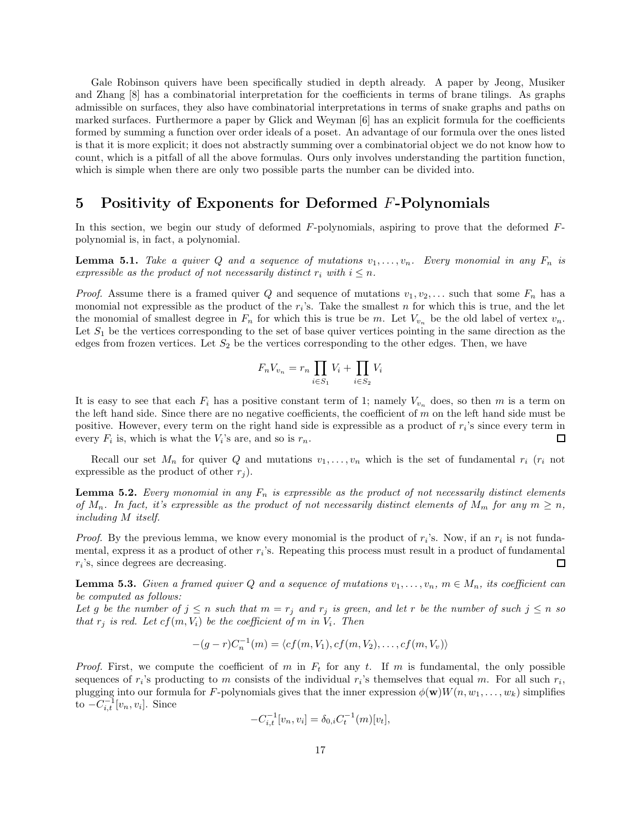Gale Robinson quivers have been specifically studied in depth already. A paper by Jeong, Musiker and Zhang [8] has a combinatorial interpretation for the coefficients in terms of brane tilings. As graphs admissible on surfaces, they also have combinatorial interpretations in terms of snake graphs and paths on marked surfaces. Furthermore a paper by Glick and Weyman [6] has an explicit formula for the coefficients formed by summing a function over order ideals of a poset. An advantage of our formula over the ones listed is that it is more explicit; it does not abstractly summing over a combinatorial object we do not know how to count, which is a pitfall of all the above formulas. Ours only involves understanding the partition function, which is simple when there are only two possible parts the number can be divided into.

# 5 Positivity of Exponents for Deformed F-Polynomials

In this section, we begin our study of deformed  $F$ -polynomials, aspiring to prove that the deformed  $F$ polynomial is, in fact, a polynomial.

**Lemma 5.1.** Take a quiver Q and a sequence of mutations  $v_1, \ldots, v_n$ . Every monomial in any  $F_n$  is expressible as the product of not necessarily distinct  $r_i$  with  $i \leq n$ .

*Proof.* Assume there is a framed quiver Q and sequence of mutations  $v_1, v_2, \ldots$  such that some  $F_n$  has a monomial not expressible as the product of the  $r_i$ 's. Take the smallest n for which this is true, and the let the monomial of smallest degree in  $F_n$  for which this is true be m. Let  $V_{v_n}$  be the old label of vertex  $v_n$ . Let  $S_1$  be the vertices corresponding to the set of base quiver vertices pointing in the same direction as the edges from frozen vertices. Let  $S_2$  be the vertices corresponding to the other edges. Then, we have

$$
F_n V_{v_n} = r_n \prod_{i \in S_1} V_i + \prod_{i \in S_2} V_i
$$

It is easy to see that each  $F_i$  has a positive constant term of 1; namely  $V_{v_n}$  does, so then m is a term on the left hand side. Since there are no negative coefficients, the coefficient of  $m$  on the left hand side must be positive. However, every term on the right hand side is expressible as a product of  $r_i$ 's since every term in every  $F_i$  is, which is what the  $V_i$ 's are, and so is  $r_n$ .  $\Box$ 

Recall our set  $M_n$  for quiver Q and mutations  $v_1, \ldots, v_n$  which is the set of fundamental  $r_i$  ( $r_i$  not expressible as the product of other  $r_i$ ).

**Lemma 5.2.** Every monomial in any  $F_n$  is expressible as the product of not necessarily distinct elements of  $M_n$ . In fact, it's expressible as the product of not necessarily distinct elements of  $M_m$  for any  $m \geq n$ , including M itself.

*Proof.* By the previous lemma, we know every monomial is the product of  $r_i$ 's. Now, if an  $r_i$  is not fundamental, express it as a product of other  $r_i$ 's. Repeating this process must result in a product of fundamental  $r_i$ 's, since degrees are decreasing.  $\Box$ 

**Lemma 5.3.** Given a framed quiver Q and a sequence of mutations  $v_1, \ldots, v_n$ ,  $m \in M_n$ , its coefficient can be computed as follows:

Let g be the number of  $j \leq n$  such that  $m = r_j$  and  $r_j$  is green, and let r be the number of such  $j \leq n$  so that  $r_j$  is red. Let  $cf(m, V_i)$  be the coefficient of m in  $V_i$ . Then

$$
-(g-r)C_n^{-1}(m) = \langle cf(m,V_1), cf(m,V_2), \ldots, cf(m,V_v) \rangle
$$

*Proof.* First, we compute the coefficient of m in  $F_t$  for any t. If m is fundamental, the only possible sequences of  $r_i$ 's producting to m consists of the individual  $r_i$ 's themselves that equal m. For all such  $r_i$ , plugging into our formula for F-polynomials gives that the inner expression  $\phi(\mathbf{w})W(n, w_1, \dots, w_k)$  simplifies to  $-C_{i,t}^{-1}[v_n, v_i]$ . Since

$$
-C_{i,t}^{-1}[v_n, v_i] = \delta_{0,i} C_t^{-1}(m)[v_t],
$$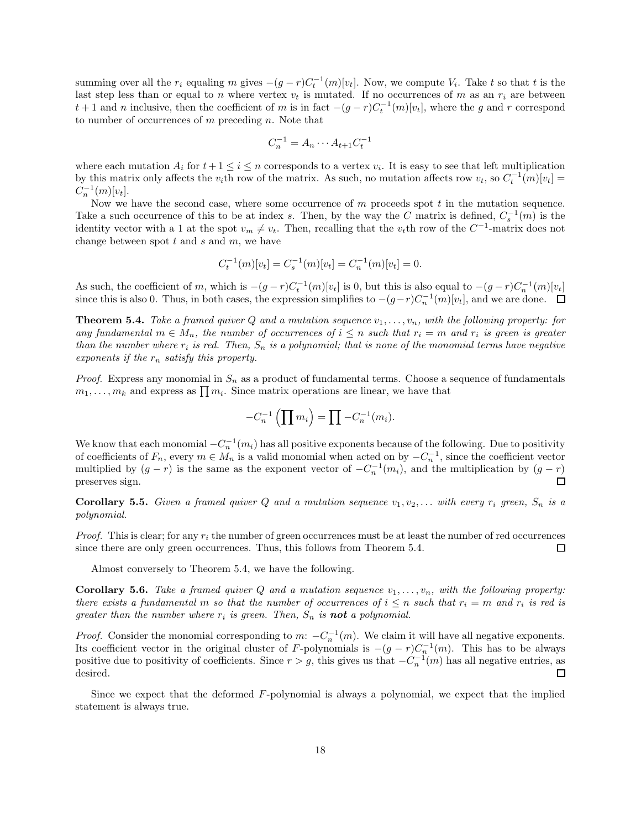summing over all the  $r_i$  equaling m gives  $-(g-r)C_t^{-1}(m)[v_t]$ . Now, we compute  $V_i$ . Take t so that t is the last step less than or equal to n where vertex  $v_t$  is mutated. If no occurrences of m as an  $r_i$  are between  $t + 1$  and n inclusive, then the coefficient of m is in fact  $-(g - r)C_t^{-1}(m)[v_t]$ , where the g and r correspond to number of occurrences of  $m$  preceding  $n$ . Note that

$$
C_n^{-1} = A_n \cdots A_{t+1} C_t^{-1}
$$

where each mutation  $A_i$  for  $t+1 \leq i \leq n$  corresponds to a vertex  $v_i$ . It is easy to see that left multiplication by this matrix only affects the v<sub>i</sub>th row of the matrix. As such, no mutation affects row  $v_t$ , so  $C_t^{-1}(m)[v_t] =$  $C_n^{-1}(m)[v_t].$ 

Now we have the second case, where some occurrence of  $m$  proceeds spot  $t$  in the mutation sequence. Take a such occurrence of this to be at index s. Then, by the way the C matrix is defined,  $C_s^{-1}(m)$  is the identity vector with a 1 at the spot  $v_m \neq v_t$ . Then, recalling that the  $v_t$ th row of the  $C^{-1}$ -matrix does not change between spot  $t$  and  $s$  and  $m$ , we have

$$
C_t^{-1}(m)[v_t] = C_s^{-1}(m)[v_t] = C_n^{-1}(m)[v_t] = 0.
$$

As such, the coefficient of m, which is  $-(g-r)C_t^{-1}(m)[v_t]$  is 0, but this is also equal to  $-(g-r)C_n^{-1}(m)[v_t]$ since this is also 0. Thus, in both cases, the expression simplifies to  $-(g-r)C_n^{-1}(m)[v_t]$ , and we are done.

**Theorem 5.4.** Take a framed quiver Q and a mutation sequence  $v_1, \ldots, v_n$ , with the following property: for any fundamental  $m \in M_n$ , the number of occurrences of  $i \leq n$  such that  $r_i = m$  and  $r_i$  is green is greater than the number where  $r_i$  is red. Then,  $S_n$  is a polynomial; that is none of the monomial terms have negative exponents if the  $r_n$  satisfy this property.

*Proof.* Express any monomial in  $S_n$  as a product of fundamental terms. Choose a sequence of fundamentals  $m_1, \ldots, m_k$  and express as  $\prod m_i$ . Since matrix operations are linear, we have that

$$
-C_n^{-1}\left(\prod m_i\right) = \prod -C_n^{-1}(m_i).
$$

We know that each monomial  $-C_n^{-1}(m_i)$  has all positive exponents because of the following. Due to positivity of coefficients of  $F_n$ , every  $m \in M_n$  is a valid monomial when acted on by  $-C_n^{-1}$ , since the coefficient vector multiplied by  $(g - r)$  is the same as the exponent vector of  $-C_n^{-1}(m_i)$ , and the multiplication by  $(g - r)$ preserves sign.

**Corollary 5.5.** Given a framed quiver Q and a mutation sequence  $v_1, v_2, \ldots$  with every  $r_i$  green,  $S_n$  is a polynomial.

*Proof.* This is clear; for any  $r_i$  the number of green occurrences must be at least the number of red occurrences since there are only green occurrences. Thus, this follows from Theorem 5.4. 口

Almost conversely to Theorem 5.4, we have the following.

**Corollary 5.6.** Take a framed quiver Q and a mutation sequence  $v_1, \ldots, v_n$ , with the following property: there exists a fundamental m so that the number of occurrences of  $i \leq n$  such that  $r_i = m$  and  $r_i$  is red is greater than the number where  $r_i$  is green. Then,  $S_n$  is **not** a polynomial.

*Proof.* Consider the monomial corresponding to  $m: -C_n^{-1}(m)$ . We claim it will have all negative exponents. Its coefficient vector in the original cluster of F-polynomials is  $-(g-r)C_n^{-1}(m)$ . This has to be always positive due to positivity of coefficients. Since  $r > g$ , this gives us that  $-C_n^{-1}(m)$  has all negative entries, as desired.  $\Box$ 

Since we expect that the deformed F-polynomial is always a polynomial, we expect that the implied statement is always true.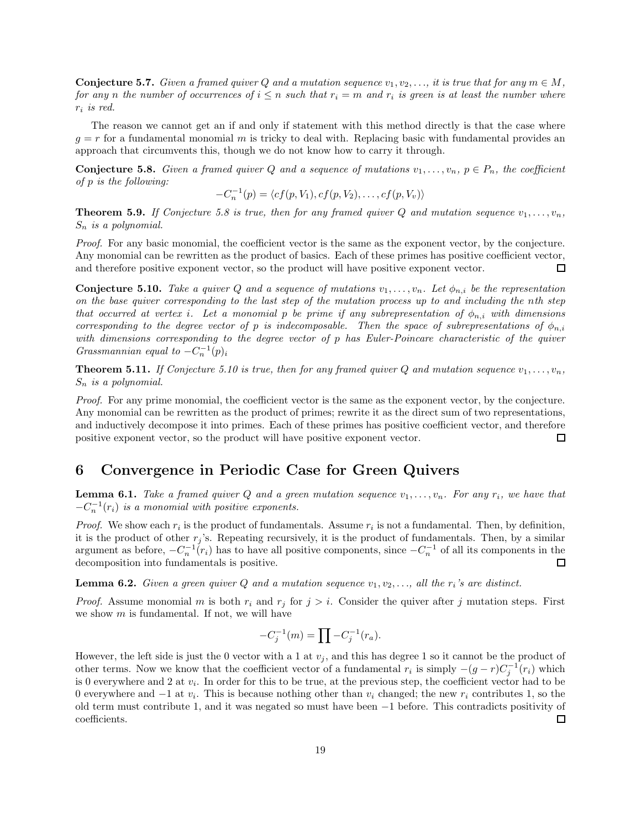**Conjecture 5.7.** Given a framed quiver Q and a mutation sequence  $v_1, v_2, \ldots$ , it is true that for any  $m \in M$ , for any n the number of occurrences of  $i \leq n$  such that  $r_i = m$  and  $r_i$  is green is at least the number where  $r_i$  is red.

The reason we cannot get an if and only if statement with this method directly is that the case where  $g = r$  for a fundamental monomial m is tricky to deal with. Replacing basic with fundamental provides an approach that circumvents this, though we do not know how to carry it through.

**Conjecture 5.8.** Given a framed quiver Q and a sequence of mutations  $v_1, \ldots, v_n$ ,  $p \in P_n$ , the coefficient of p is the following:

 $-C_n^{-1}(p) = \langle cf(p, V_1), cf(p, V_2), \dots, cf(p, V_v) \rangle$ 

**Theorem 5.9.** If Conjecture 5.8 is true, then for any framed quiver Q and mutation sequence  $v_1, \ldots, v_n$ ,  $S_n$  is a polynomial.

Proof. For any basic monomial, the coefficient vector is the same as the exponent vector, by the conjecture. Any monomial can be rewritten as the product of basics. Each of these primes has positive coefficient vector, and therefore positive exponent vector, so the product will have positive exponent vector. □

**Conjecture 5.10.** Take a quiver Q and a sequence of mutations  $v_1, \ldots, v_n$ . Let  $\phi_{n,i}$  be the representation on the base quiver corresponding to the last step of the mutation process up to and including the nth step that occurred at vertex i. Let a monomial p be prime if any subrepresentation of  $\phi_{n,i}$  with dimensions corresponding to the degree vector of p is indecomposable. Then the space of subrepresentations of  $\phi_{n,i}$ with dimensions corresponding to the degree vector of p has Euler-Poincare characteristic of the quiver Grassmannian equal to  $-C_n^{-1}(p)_i$ 

**Theorem 5.11.** If Conjecture 5.10 is true, then for any framed quiver Q and mutation sequence  $v_1, \ldots, v_n$ ,  $S_n$  is a polynomial.

Proof. For any prime monomial, the coefficient vector is the same as the exponent vector, by the conjecture. Any monomial can be rewritten as the product of primes; rewrite it as the direct sum of two representations, and inductively decompose it into primes. Each of these primes has positive coefficient vector, and therefore positive exponent vector, so the product will have positive exponent vector.  $\Box$ 

# 6 Convergence in Periodic Case for Green Quivers

**Lemma 6.1.** Take a framed quiver Q and a green mutation sequence  $v_1, \ldots, v_n$ . For any  $r_i$ , we have that  $-C_n^{-1}(r_i)$  is a monomial with positive exponents.

*Proof.* We show each  $r_i$  is the product of fundamentals. Assume  $r_i$  is not a fundamental. Then, by definition, it is the product of other  $r_i$ 's. Repeating recursively, it is the product of fundamentals. Then, by a similar argument as before,  $-C_n^{-1}(r_i)$  has to have all positive components, since  $-C_n^{-1}$  of all its components in the decomposition into fundamentals is positive.  $\Box$ 

**Lemma 6.2.** Given a green quiver Q and a mutation sequence  $v_1, v_2, \ldots$ , all the  $r_i$ 's are distinct.

*Proof.* Assume monomial m is both  $r_i$  and  $r_j$  for  $j > i$ . Consider the quiver after j mutation steps. First we show  $m$  is fundamental. If not, we will have

$$
-C_j^{-1}(m) = \prod -C_j^{-1}(r_a).
$$

However, the left side is just the 0 vector with a 1 at  $v_j$ , and this has degree 1 so it cannot be the product of other terms. Now we know that the coefficient vector of a fundamental  $r_i$  is simply  $-(g-r)C_j^{-1}(r_i)$  which is 0 everywhere and 2 at  $v_i$ . In order for this to be true, at the previous step, the coefficient vector had to be 0 everywhere and  $-1$  at  $v_i$ . This is because nothing other than  $v_i$  changed; the new  $r_i$  contributes 1, so the old term must contribute 1, and it was negated so must have been  $-1$  before. This contradicts positivity of coefficients.  $□$ coefficients.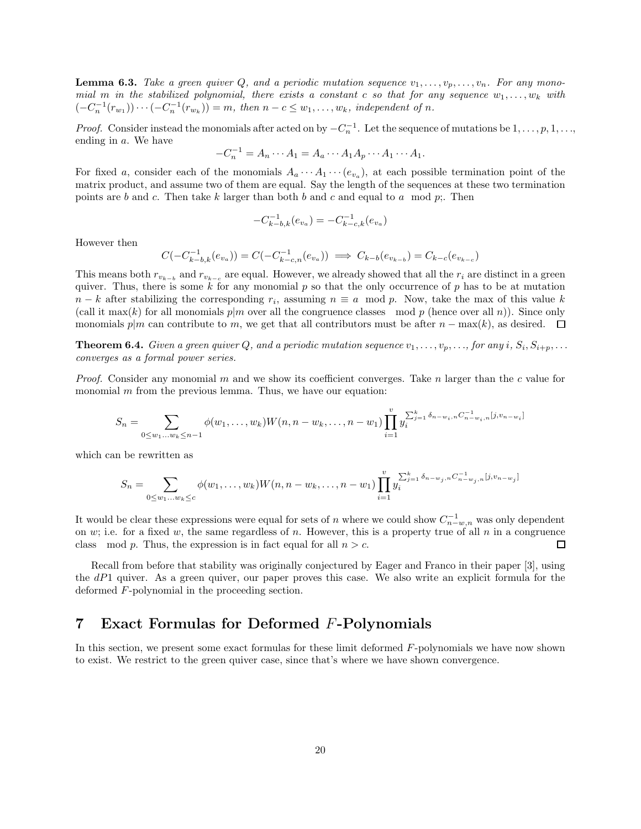**Lemma 6.3.** Take a green quiver Q, and a periodic mutation sequence  $v_1, \ldots, v_p, \ldots, v_n$ . For any monomial m in the stabilized polynomial, there exists a constant c so that for any sequence  $w_1, \ldots, w_k$  with  $(-C_n^{-1}(r_{w_1})) \cdots (-C_n^{-1}(r_{w_k})) = m$ , then  $n - c \le w_1, \ldots, w_k$ , independent of n.

*Proof.* Consider instead the monomials after acted on by  $-C_n^{-1}$ . Let the sequence of mutations be  $1, \ldots, p, 1, \ldots$ ending in a. We have

$$
-C_n^{-1} = A_n \cdots A_1 = A_a \cdots A_1 A_p \cdots A_1 \cdots A_1.
$$

For fixed a, consider each of the monomials  $A_a \cdots A_1 \cdots (e_{v_a})$ , at each possible termination point of the matrix product, and assume two of them are equal. Say the length of the sequences at these two termination points are b and c. Then take k larger than both b and c and equal to a mod p;. Then

$$
-C_{k-b,k}^{-1}\big(e_{v_a}\big)=-C_{k-c,k}^{-1}\big(e_{v_a}\big)
$$

However then

$$
C(-C_{k-b,k}^{-1}(e_{v_a})) = C(-C_{k-c,n}^{-1}(e_{v_a})) \implies C_{k-b}(e_{v_{k-b}}) = C_{k-c}(e_{v_{k-c}})
$$

This means both  $r_{v_{k-b}}$  and  $r_{v_{k-c}}$  are equal. However, we already showed that all the  $r_i$  are distinct in a green quiver. Thus, there is some k for any monomial p so that the only occurrence of p has to be at mutation  $n - k$  after stabilizing the corresponding  $r_i$ , assuming  $n \equiv a \mod p$ . Now, take the max of this value k (call it max(k) for all monomials  $p|m$  over all the congruence classes mod p (hence over all n)). Since only monomials p|m can contribute to m, we get that all contributors must be after  $n - \max(k)$ , as desired.  $\Box$ 

**Theorem 6.4.** Given a green quiver Q, and a periodic mutation sequence  $v_1, \ldots, v_p, \ldots$ , for any  $i, S_i, S_{i+p}, \ldots$ converges as a formal power series.

*Proof.* Consider any monomial m and we show its coefficient converges. Take n larger than the c value for monomial  $m$  from the previous lemma. Thus, we have our equation:

$$
S_n = \sum_{0 \leq w_1 \dots w_k \leq n-1} \phi(w_1, \dots, w_k) W(n, n - w_k, \dots, n - w_1) \prod_{i=1}^v y_i^{\sum_{j=1}^k \delta_{n-w_i, n} C_{n-w_i, n}^{-1} [j, v_{n-w_i}]}.
$$

which can be rewritten as

$$
S_n = \sum_{0 \le w_1...w_k \le c} \phi(w_1,...,w_k) W(n, n - w_k,..., n - w_1) \prod_{i=1}^v y_i^{\sum_{j=1}^k \delta_{n-w_j, n} C_{n-w_j, n}^{-1} [j, v_{n-w_j}]}.
$$

It would be clear these expressions were equal for sets of n where we could show  $C_{n-w,n}^{-1}$  was only dependent on w; i.e. for a fixed w, the same regardless of n. However, this is a property true of all n in a congruence class mod p. Thus, the expression is in fact equal for all  $n > c$ . □

Recall from before that stability was originally conjectured by Eager and Franco in their paper [3], using the  $dP1$  quiver. As a green quiver, our paper proves this case. We also write an explicit formula for the deformed F-polynomial in the proceeding section.

# 7 Exact Formulas for Deformed F-Polynomials

In this section, we present some exact formulas for these limit deformed F-polynomials we have now shown to exist. We restrict to the green quiver case, since that's where we have shown convergence.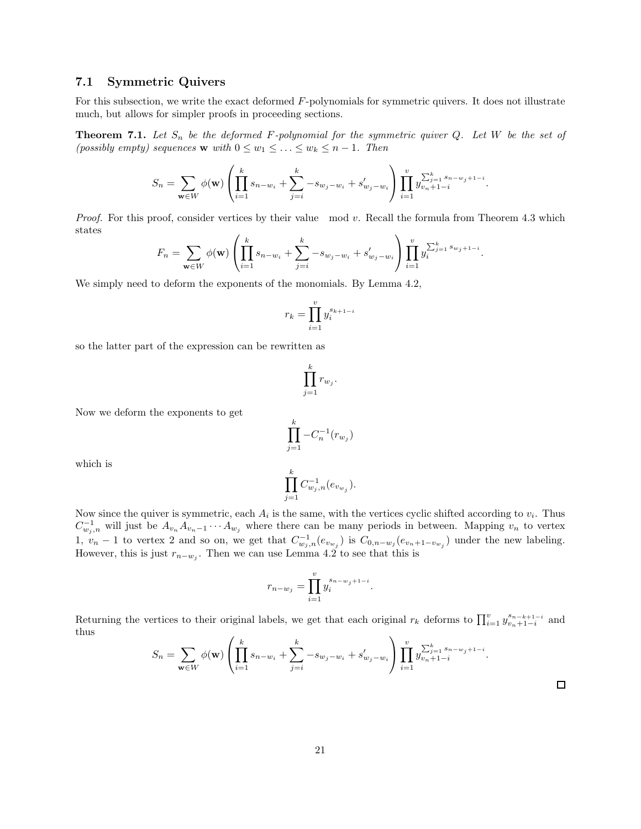### 7.1 Symmetric Quivers

For this subsection, we write the exact deformed F-polynomials for symmetric quivers. It does not illustrate much, but allows for simpler proofs in proceeding sections.

**Theorem 7.1.** Let  $S_n$  be the deformed F-polynomial for the symmetric quiver  $Q$ . Let  $W$  be the set of (possibly empty) sequences **w** with  $0 \leq w_1 \leq \ldots \leq w_k \leq n-1$ . Then

$$
S_n = \sum_{\mathbf{w} \in W} \phi(\mathbf{w}) \left( \prod_{i=1}^k s_{n-w_i} + \sum_{j=i}^k -s_{w_j-w_i} + s'_{w_j-w_i} \right) \prod_{i=1}^v y_{v_n+1-i}^{\sum_{j=1}^k s_{n-w_j+1-i}}.
$$

*Proof.* For this proof, consider vertices by their value mod  $v$ . Recall the formula from Theorem 4.3 which states

$$
F_n = \sum_{\mathbf{w} \in W} \phi(\mathbf{w}) \left( \prod_{i=1}^k s_{n-w_i} + \sum_{j=i}^k -s_{w_j-w_i} + s'_{w_j-w_i} \right) \prod_{i=1}^v y_i^{\sum_{j=1}^k s_{w_j+1-i}}.
$$

We simply need to deform the exponents of the monomials. By Lemma 4.2,

$$
r_k = \prod_{i=1}^v y_i^{s_{k+1-i}}
$$

so the latter part of the expression can be rewritten as

$$
\prod_{j=1}^k r_{w_j}.
$$

Now we deform the exponents to get

$$
\prod_{j=1}^{k} -C_n^{-1}(r_{w_j})
$$
  

$$
\prod_{i=1}^{k} C^{-1} (e_n)
$$

 $C_{w_j,n}^{-1}(e_{v_{w_j}}).$ 

which is

Now since the quiver is symmetric, each 
$$
A_i
$$
 is the same, with the vertices cyclic shifted according to  $v_i$ . Thus  $C_{w_j,n}^{-1}$  will just be  $A_{v_n}A_{v_{n-1}}\cdots A_{w_j}$  where there can be many periods in between. Mapping  $v_n$  to vertex 1,  $v_n - 1$  to vertex 2 and so on, we get that  $C_{w_j,n}^{-1}(e_{v_{w_j}})$  is  $C_{0,n-w_j}(e_{v_n+1-v_{w_j}})$  under the new labeling.  
However, this is just  $r_{n-w_j}$ . Then we can use Lemma 4.2 to see that this is

 $j=1$ 

$$
r_{n-w_j} = \prod_{i=1}^{v} y_i^{s_{n-w_j+1-i}}.
$$

Returning the vertices to their original labels, we get that each original  $r_k$  deforms to  $\prod_{i=1}^{v} y_{v_n+1-i}^{s_{n-k+1-i}}$  $\sum_{i=1}^{s_{n-k+1-i}}$  and thus  $\overline{\phantom{a}}$ 

$$
S_n = \sum_{\mathbf{w} \in W} \phi(\mathbf{w}) \left( \prod_{i=1}^k s_{n-w_i} + \sum_{j=i}^k -s_{w_j-w_i} + s'_{w_j-w_i} \right) \prod_{i=1}^v y_{v_n+1-i}^{\sum_{j=1}^k s_{n-w_j+1-i}}.
$$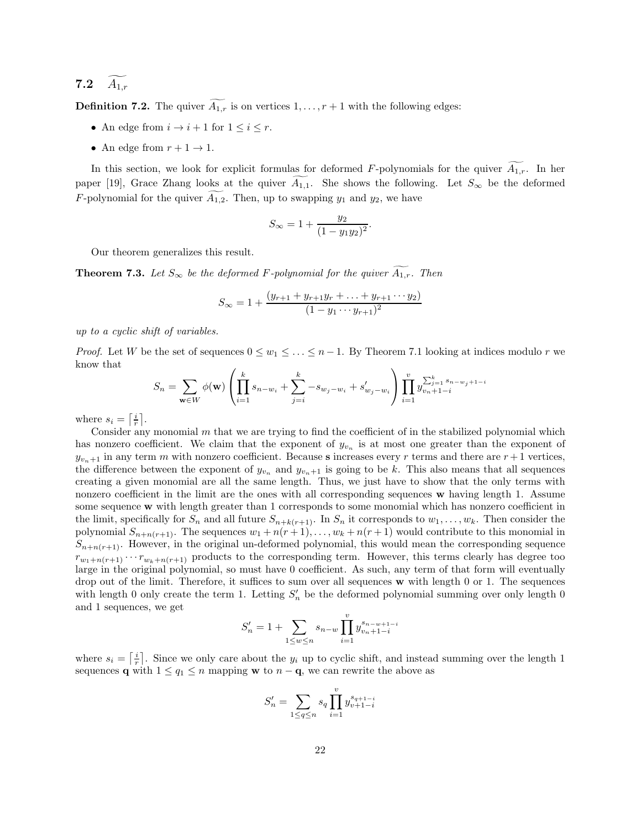# 7.2  $\widetilde{A_{1,r}}$

**Definition 7.2.** The quiver  $\widetilde{A_{1,r}}$  is on vertices  $1, \ldots, r+1$  with the following edges:

- An edge from  $i \to i + 1$  for  $1 \leq i \leq r$ .
- An edge from  $r + 1 \rightarrow 1$ .

In this section, we look for explicit formulas for deformed F-polynomials for the quiver  $\widetilde{A}_{1,r}$ . In her paper [19], Grace Zhang looks at the quiver  $A_{1,1}$ . She shows the following. Let  $S_{\infty}$  be the deformed F-polynomial for the quiver  $A_{1,2}$ . Then, up to swapping  $y_1$  and  $y_2$ , we have

$$
S_{\infty} = 1 + \frac{y_2}{(1 - y_1 y_2)^2}.
$$

Our theorem generalizes this result.

**Theorem 7.3.** Let  $S_{\infty}$  be the deformed F-polynomial for the quiver  $\widetilde{A_{1,r}}$ . Then

$$
S_{\infty} = 1 + \frac{(y_{r+1} + y_{r+1}y_r + \dots + y_{r+1} \dots y_2)}{(1 - y_1 \dots y_{r+1})^2}
$$

up to a cyclic shift of variables.

*Proof.* Let W be the set of sequences  $0 \leq w_1 \leq \ldots \leq n-1$ . By Theorem 7.1 looking at indices modulo r we know that

$$
S_n = \sum_{\mathbf{w} \in W} \phi(\mathbf{w}) \left( \prod_{i=1}^k s_{n-w_i} + \sum_{j=i}^k -s_{w_j - w_i} + s'_{w_j - w_i} \right) \prod_{i=1}^v y_{v_n + 1 - i}^{\sum_{j=1}^k s_{n-w_j + 1 - i}}
$$

where  $s_i = \left\lceil \frac{i}{r} \right\rceil$ .

Consider any monomial  $m$  that we are trying to find the coefficient of in the stabilized polynomial which has nonzero coefficient. We claim that the exponent of  $y_{v_n}$  is at most one greater than the exponent of  $y_{v_n+1}$  in any term m with nonzero coefficient. Because s increases every r terms and there are  $r+1$  vertices, the difference between the exponent of  $y_{v_n}$  and  $y_{v_n+1}$  is going to be k. This also means that all sequences creating a given monomial are all the same length. Thus, we just have to show that the only terms with nonzero coefficient in the limit are the ones with all corresponding sequences w having length 1. Assume some sequence w with length greater than 1 corresponds to some monomial which has nonzero coefficient in the limit, specifically for  $S_n$  and all future  $S_{n+k(r+1)}$ . In  $S_n$  it corresponds to  $w_1, \ldots, w_k$ . Then consider the polynomial  $S_{n+n(r+1)}$ . The sequences  $w_1 + n(r+1), \ldots, w_k + n(r+1)$  would contribute to this monomial in  $S_{n+n(r+1)}$ . However, in the original un-deformed polynomial, this would mean the corresponding sequence  $r_{w_1+n(r+1)} \cdots r_{w_k+n(r+1)}$  products to the corresponding term. However, this terms clearly has degree too large in the original polynomial, so must have 0 coefficient. As such, any term of that form will eventually drop out of the limit. Therefore, it suffices to sum over all sequences w with length 0 or 1. The sequences with length 0 only create the term 1. Letting  $S'_n$  be the deformed polynomial summing over only length 0 and 1 sequences, we get

$$
S'_{n} = 1 + \sum_{1 \le w \le n} s_{n-w} \prod_{i=1}^{v} y_{v_{n}+1-i}^{s_{n-w+1-i}}
$$

where  $s_i = \left\lceil \frac{i}{r} \right\rceil$ . Since we only care about the  $y_i$  up to cyclic shift, and instead summing over the length 1 sequences **q** with  $1 \leq q_1 \leq n$  mapping **w** to  $n - \mathbf{q}$ , we can rewrite the above as

$$
S_n' = \sum_{1 \le q \le n} s_q \prod_{i=1}^v y_{v+1-i}^{s_{q+1-i}}
$$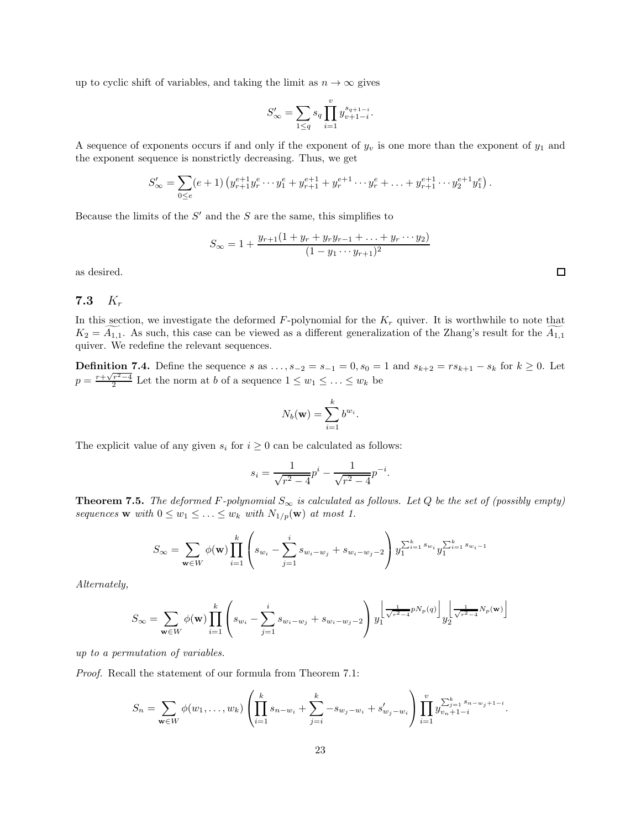up to cyclic shift of variables, and taking the limit as  $n \to \infty$  gives

$$
S'_\infty=\sum_{1\leq q}s_q\prod_{i=1}^vy_{v+1-i}^{s_{q+1-i}}.
$$

A sequence of exponents occurs if and only if the exponent of  $y_v$  is one more than the exponent of  $y_1$  and the exponent sequence is nonstrictly decreasing. Thus, we get

$$
S'_{\infty} = \sum_{0 \le e} (e+1) \left( y_{r+1}^{e+1} y_r^e \cdots y_1^e + y_{r+1}^{e+1} + y_r^{e+1} \cdots y_r^e + \ldots + y_{r+1}^{e+1} \cdots y_2^{e+1} y_1^e \right).
$$

Because the limits of the  $S'$  and the S are the same, this simplifies to

$$
S_{\infty} = 1 + \frac{y_{r+1}(1 + y_r + y_r y_{r-1} + \dots + y_r \dots y_2)}{(1 - y_1 \dots y_{r+1})^2}
$$

as desired.

### 7.3 K<sup>r</sup>

In this section, we investigate the deformed  $F$ -polynomial for the  $K_r$  quiver. It is worthwhile to note that  $K_2 = A_{1,1}$ . As such, this case can be viewed as a different generalization of the Zhang's result for the  $A_{1,1}$ quiver. We redefine the relevant sequences.

**Definition 7.4.** Define the sequence s as  $\dots$ ,  $s_{-2} = s_{-1} = 0$ ,  $s_0 = 1$  and  $s_{k+2} = rs_{k+1} - s_k$  for  $k \ge 0$ . Let  $p = \frac{r + \sqrt{r^2 - 4}}{2}$  Let the norm at b of a sequence  $1 \leq w_1 \leq \ldots \leq w_k$  be

$$
N_b(\mathbf{w}) = \sum_{i=1}^k b^{w_i}
$$

.

The explicit value of any given  $s_i$  for  $i \geq 0$  can be calculated as follows:

$$
s_i = \frac{1}{\sqrt{r^2 - 4}} p^i - \frac{1}{\sqrt{r^2 - 4}} p^{-i}.
$$

**Theorem 7.5.** The deformed F-polynomial  $S_{\infty}$  is calculated as follows. Let Q be the set of (possibly empty) sequences **w** with  $0 \leq w_1 \leq \ldots \leq w_k$  with  $N_{1/p}(\mathbf{w})$  at most 1.

$$
S_{\infty} = \sum_{\mathbf{w} \in W} \phi(\mathbf{w}) \prod_{i=1}^{k} \left( s_{w_i} - \sum_{j=1}^{i} s_{w_i - w_j} + s_{w_i - w_j - 2} \right) y_1^{\sum_{i=1}^{k} s_{w_i}} y_1^{\sum_{i=1}^{k} s_{w_i - 1}}
$$

Alternately,

$$
S_{\infty} = \sum_{\mathbf{w} \in W} \phi(\mathbf{w}) \prod_{i=1}^{k} \left( s_{w_i} - \sum_{j=1}^{i} s_{w_i - w_j} + s_{w_i - w_j - 2} \right) y_1^{\left\lfloor \frac{1}{\sqrt{r^2 - 4}} p N_p(q) \right\rfloor} y_2^{\left\lfloor \frac{1}{\sqrt{r^2 - 4}} N_p(\mathbf{w}) \right\rfloor}
$$

up to a permutation of variables.

Proof. Recall the statement of our formula from Theorem 7.1:

$$
S_n = \sum_{\mathbf{w}\in W} \phi(w_1,\ldots,w_k) \left( \prod_{i=1}^k s_{n-w_i} + \sum_{j=i}^k -s_{w_j-w_i} + s'_{w_j-w_i} \right) \prod_{i=1}^v y_{v_n+1-i}^{\sum_{j=1}^k s_{n-w_j+1-i}}.
$$

 $\Box$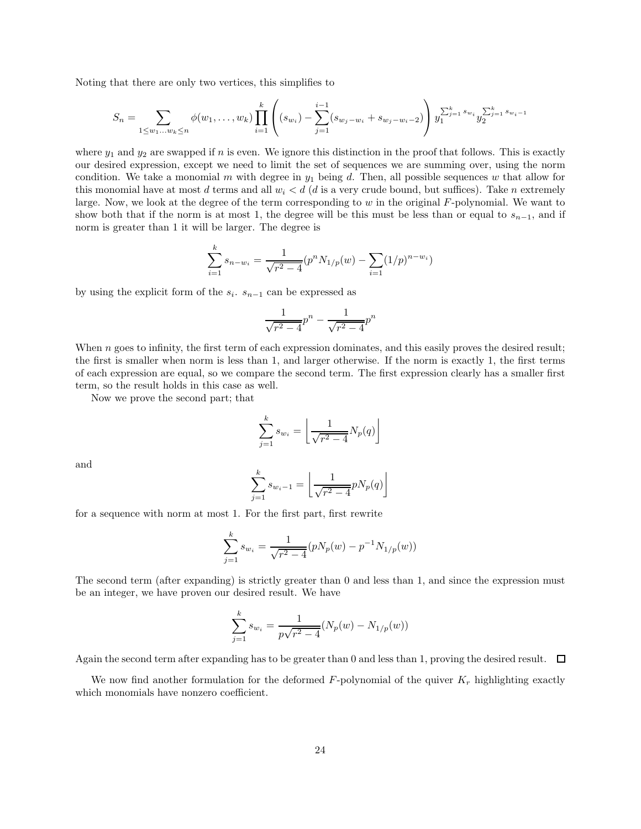Noting that there are only two vertices, this simplifies to

$$
S_n = \sum_{1 \leq w_1 \dots w_k \leq n} \phi(w_1, \dots, w_k) \prod_{i=1}^k \left( (s_{w_i}) - \sum_{j=1}^{i-1} (s_{w_j - w_i} + s_{w_j - w_i - 2}) \right) y_1^{\sum_{j=1}^k s_{w_j}} y_2^{\sum_{j=1}^k s_{w_j - 1}}
$$

where  $y_1$  and  $y_2$  are swapped if n is even. We ignore this distinction in the proof that follows. This is exactly our desired expression, except we need to limit the set of sequences we are summing over, using the norm condition. We take a monomial m with degree in  $y_1$  being d. Then, all possible sequences w that allow for this monomial have at most d terms and all  $w_i < d$  (d is a very crude bound, but suffices). Take n extremely large. Now, we look at the degree of the term corresponding to w in the original F-polynomial. We want to show both that if the norm is at most 1, the degree will be this must be less than or equal to  $s_{n-1}$ , and if norm is greater than 1 it will be larger. The degree is

$$
\sum_{i=1}^{k} s_{n-w_i} = \frac{1}{\sqrt{r^2 - 4}} (p^n N_{1/p}(w) - \sum_{i=1} (1/p)^{n-w_i})
$$

by using the explicit form of the  $s_i$ .  $s_{n-1}$  can be expressed as

$$
\frac{1}{\sqrt{r^2 - 4}} p^n - \frac{1}{\sqrt{r^2 - 4}} p^n
$$

When  $n$  goes to infinity, the first term of each expression dominates, and this easily proves the desired result; the first is smaller when norm is less than 1, and larger otherwise. If the norm is exactly 1, the first terms of each expression are equal, so we compare the second term. The first expression clearly has a smaller first term, so the result holds in this case as well.

Now we prove the second part; that

$$
\sum_{j=1}^{k} s_{w_i} = \left\lfloor \frac{1}{\sqrt{r^2 - 4}} N_p(q) \right\rfloor
$$

and

$$
\sum_{j=1}^{k} s_{w_i - 1} = \left\lfloor \frac{1}{\sqrt{r^2 - 4}} p N_p(q) \right\rfloor
$$

for a sequence with norm at most 1. For the first part, first rewrite

$$
\sum_{j=1}^{k} s_{w_i} = \frac{1}{\sqrt{r^2 - 4}} (pN_p(w) - p^{-1}N_{1/p}(w))
$$

The second term (after expanding) is strictly greater than 0 and less than 1, and since the expression must be an integer, we have proven our desired result. We have

$$
\sum_{j=1}^{k} s_{w_i} = \frac{1}{p\sqrt{r^2 - 4}} (N_p(w) - N_{1/p}(w))
$$

Again the second term after expanding has to be greater than 0 and less than 1, proving the desired result.  $\Box$ 

We now find another formulation for the deformed F-polynomial of the quiver  $K_r$  highlighting exactly which monomials have nonzero coefficient.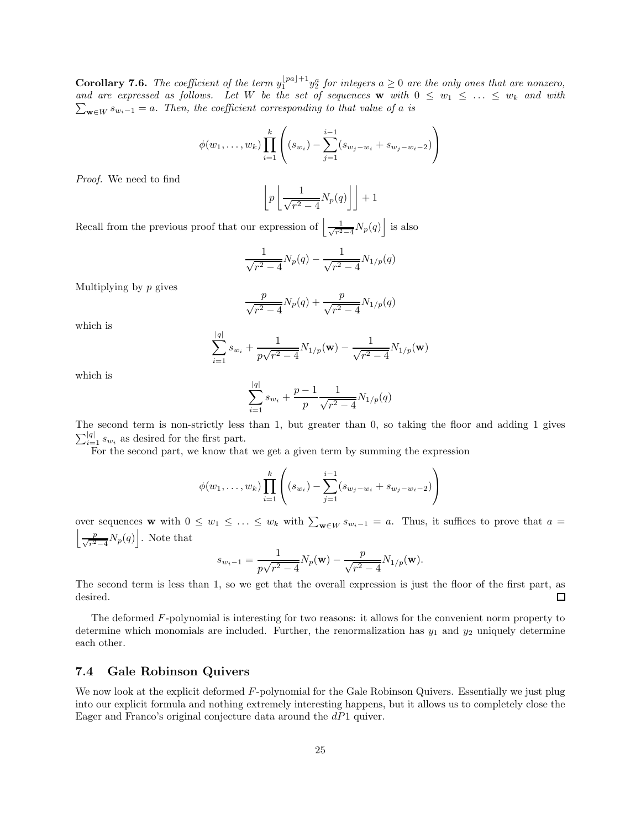**Corollary 7.6.** The coefficient of the term  $y_1^{\lfloor pa \rfloor+1} y_2^a$  for integers  $a \ge 0$  are the only ones that are nonzero, and are expressed as follows. Let W be the set of sequences  $w$  with  $0 \leq w_1 \leq \ldots \leq w_k$  and with  $\sum_{\mathbf{w}\in W} s_{w_i-1} = a$ . Then, the coefficient corresponding to that value of a is

$$
\phi(w_1, \ldots, w_k) \prod_{i=1}^k \left( (s_{w_i}) - \sum_{j=1}^{i-1} (s_{w_j - w_i} + s_{w_j - w_i - 2}) \right)
$$

Proof. We need to find

$$
\left\lfloor p \left\lfloor \frac{1}{\sqrt{r^2 - 4}} N_p(q) \right\rfloor \right\rfloor + 1
$$

Recall from the previous proof that our expression of  $\frac{1}{\sqrt{n^2}}$  $\frac{1}{r^2-4}N_p(q)$  is also

$$
\frac{1}{\sqrt{r^2 - 4}} N_p(q) - \frac{1}{\sqrt{r^2 - 4}} N_{1/p}(q)
$$

Multiplying by  $p$  gives

$$
\frac{p}{\sqrt{r^2 - 4}} N_p(q) + \frac{p}{\sqrt{r^2 - 4}} N_{1/p}(q)
$$

which is

$$
\sum_{i=1}^{|q|} s_{w_i} + \frac{1}{p\sqrt{r^2-4}} N_{1/p}(\mathbf{w}) - \frac{1}{\sqrt{r^2-4}} N_{1/p}(\mathbf{w})
$$

which is

$$
\sum_{i=1}^{|q|} s_{w_i} + \frac{p-1}{p} \frac{1}{\sqrt{r^2 - 4}} N_{1/p}(q)
$$

The second term is non-strictly less than 1, but greater than 0, so taking the floor and adding 1 gives  $\sum_{i=1}^{|q|} s_{w_i}$  as desired for the first part.

For the second part, we know that we get a given term by summing the expression

$$
\phi(w_1, \ldots, w_k) \prod_{i=1}^k \left( (s_{w_i}) - \sum_{j=1}^{i-1} (s_{w_j - w_i} + s_{w_j - w_i - 2}) \right)
$$

over sequences w with  $0 \leq w_1 \leq \ldots \leq w_k$  with  $\sum_{w \in W} s_{w_i-1} = a$ . Thus, it suffices to prove that  $a = \begin{bmatrix} p & N(a) \end{bmatrix}$ .  $\frac{p}{\sqrt{r^2-4}}N_p(q)\bigg]$ . Note that

$$
s_{w_i-1} = \frac{1}{p\sqrt{r^2 - 4}} N_p(\mathbf{w}) - \frac{p}{\sqrt{r^2 - 4}} N_{1/p}(\mathbf{w}).
$$

The second term is less than 1, so we get that the overall expression is just the floor of the first part, as desired.  $\Box$ 

The deformed F-polynomial is interesting for two reasons: it allows for the convenient norm property to determine which monomials are included. Further, the renormalization has  $y_1$  and  $y_2$  uniquely determine each other.

#### 7.4 Gale Robinson Quivers

We now look at the explicit deformed F-polynomial for the Gale Robinson Quivers. Essentially we just plug into our explicit formula and nothing extremely interesting happens, but it allows us to completely close the Eager and Franco's original conjecture data around the  $dP1$  quiver.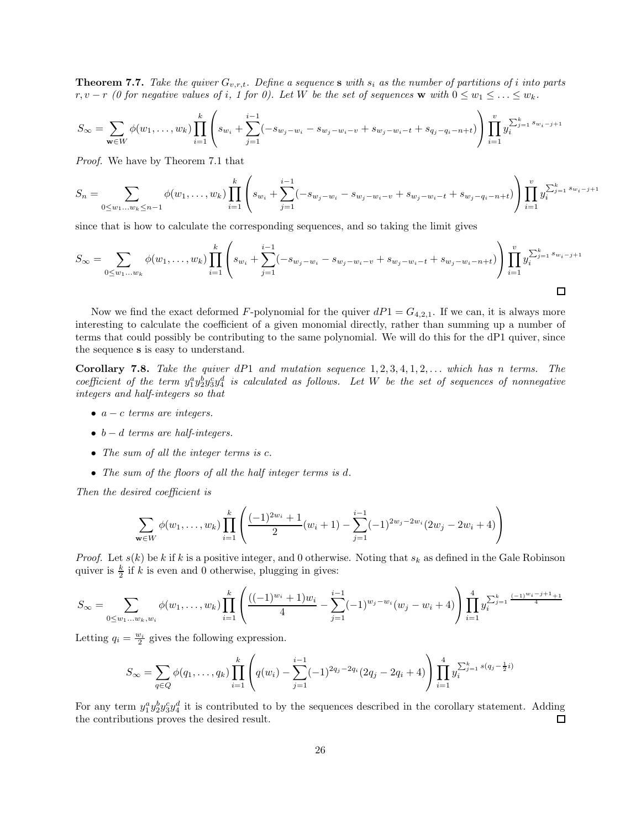**Theorem 7.7.** Take the quiver  $G_{v,r,t}$ . Define a sequence s with  $s_i$  as the number of partitions of i into parts  $r, v - r$  (0 for negative values of i, 1 for 0). Let W be the set of sequences w with  $0 \leq w_1 \leq \ldots \leq w_k$ .

$$
S_{\infty} = \sum_{\mathbf{w} \in W} \phi(w_1, \dots, w_k) \prod_{i=1}^k \left( s_{w_i} + \sum_{j=1}^{i-1} (-s_{w_j - w_i} - s_{w_j - w_i - v} + s_{w_j - w_i - t} + s_{q_j - q_i - n + t}) \right) \prod_{i=1}^v y_i^{\sum_{j=1}^k s_{w_i - j + 1}}
$$

Proof. We have by Theorem 7.1 that

$$
S_n = \sum_{0 \le w_1 \dots w_k \le n-1} \phi(w_1, \dots, w_k) \prod_{i=1}^k \left( s_{w_i} + \sum_{j=1}^{i-1} (-s_{w_j - w_i} - s_{w_j - w_i - v} + s_{w_j - w_i - t} + s_{w_j - q_i - n + t}) \right) \prod_{i=1}^v y_i^{\sum_{j=1}^k s_{w_i - j + 1}}
$$

since that is how to calculate the corresponding sequences, and so taking the limit gives

$$
S_{\infty} = \sum_{0 \leq w_1 \dots w_k} \phi(w_1, \dots, w_k) \prod_{i=1}^k \left( s_{w_i} + \sum_{j=1}^{i-1} (-s_{w_j - w_i} - s_{w_j - w_i - v} + s_{w_j - w_i - t} + s_{w_j - w_i - n + t}) \right) \prod_{i=1}^v y_i^{\sum_{j=1}^k s_{w_i - j + 1}} \prod_{j=1}^{i-1} \phi(w_1, \dots, w_k) \prod_{i=1}^k \phi(w_i, \dots, w_i) \prod_{j=1}^k \phi(w_j, \dots, w_j) \prod_{i=1}^k \phi(w_i, \dots, w_i) \prod_{j=1}^k \phi(w_i, \dots, w_i) \prod_{i=1}^k \phi(w_i, \dots, w_i) \prod_{i=1}^k \phi(w_i, \dots, w_i) \prod_{i=1}^k \phi(w_i, \dots, w_i) \prod_{i=1}^k \phi(w_i, \dots, w_i) \prod_{i=1}^k \phi(w_i, \dots, w_i) \prod_{i=1}^k \phi(w_i, \dots, w_i) \prod_{i=1}^k \phi(w_i, \dots, w_i) \prod_{i=1}^k \phi(w_i, \dots, w_i) \prod_{i=1}^k \phi(w_i, \dots, w_i) \prod_{i=1}^k \phi(w_i, \dots, w_i) \prod_{i=1}^k \phi(w_i, \dots, w_i) \prod_{i=1}^k \phi(w_i, \dots, w_i) \prod_{i=1}^k \phi(w_i, \dots, w_i) \prod_{i=1}^k \phi(w_i, \dots, w_i) \prod_{i=1}^k \phi(w_i, \dots, w_i) \prod_{i=1}^k \phi(w_i, \dots, w_i) \prod_{i=1}^k \phi(w_i, \dots, w_i) \prod_{i=1}^k \phi(w_i, \dots, w_i) \prod_{i=1}^k \phi(w_i, \dots, w_i) \prod_{i=1}^k \phi(w_i, \dots, w_i) \prod_{i=1}^k \phi(w_i, \dots, w_i) \prod_{i=1}^k \phi(w_i, \dots, w_i) \prod_{i=1}^k \phi(w_i, \dots, w_i) \prod_{i=1}^k \phi(w_i, \dots, w_i) \prod_{i=1}^k \phi(w_i, \dots, w_i) \prod_{i=1}^k \phi(w_i
$$

Now we find the exact deformed F-polynomial for the quiver  $dP1 = G_{4,2,1}$ . If we can, it is always more interesting to calculate the coefficient of a given monomial directly, rather than summing up a number of terms that could possibly be contributing to the same polynomial. We will do this for the dP1 quiver, since the sequence s is easy to understand.

Corollary 7.8. Take the quiver  $dP1$  and mutation sequence  $1, 2, 3, 4, 1, 2, \ldots$  which has n terms. The coefficient of the term  $y_1^a y_2^b y_3^c y_4^d$  is calculated as follows. Let W be the set of sequences of nonnegative integers and half-integers so that

- $a c$  terms are integers.
- $b d$  terms are half-integers.
- The sum of all the integer terms is c.
- The sum of the floors of all the half integer terms is d.

Then the desired coefficient is

$$
\sum_{\mathbf{w}\in W} \phi(w_1,\ldots,w_k) \prod_{i=1}^k \left( \frac{(-1)^{2w_i}+1}{2}(w_i+1) - \sum_{j=1}^{i-1} (-1)^{2w_j-2w_i} (2w_j-2w_i+4) \right)
$$

*Proof.* Let  $s(k)$  be k if k is a positive integer, and 0 otherwise. Noting that  $s_k$  as defined in the Gale Robinson quiver is  $\frac{k}{2}$  if k is even and 0 otherwise, plugging in gives:

$$
S_{\infty} = \sum_{0 \leq w_1 \dots w_k, w_i} \phi(w_1, \dots, w_k) \prod_{i=1}^k \left( \frac{((-1)^{w_i} + 1)w_i}{4} - \sum_{j=1}^{i-1} (-1)^{w_j - w_i} (w_j - w_i + 4) \right) \prod_{i=1}^4 y_i^{\sum_{j=1}^k \frac{(-1)^{w_i - j + 1} + 1}{4}}
$$

Letting  $q_i = \frac{w_i}{2}$  gives the following expression.

$$
S_{\infty} = \sum_{q \in Q} \phi(q_1, \dots, q_k) \prod_{i=1}^k \left( q(w_i) - \sum_{j=1}^{i-1} (-1)^{2q_j - 2q_i} (2q_j - 2q_i + 4) \right) \prod_{i=1}^4 y_i^{\sum_{j=1}^k s(q_j - \frac{1}{2}i)}
$$

For any term  $y_1^a y_2^b y_3^c y_4^d$  it is contributed to by the sequences described in the corollary statement. Adding the contributions proves the desired result. □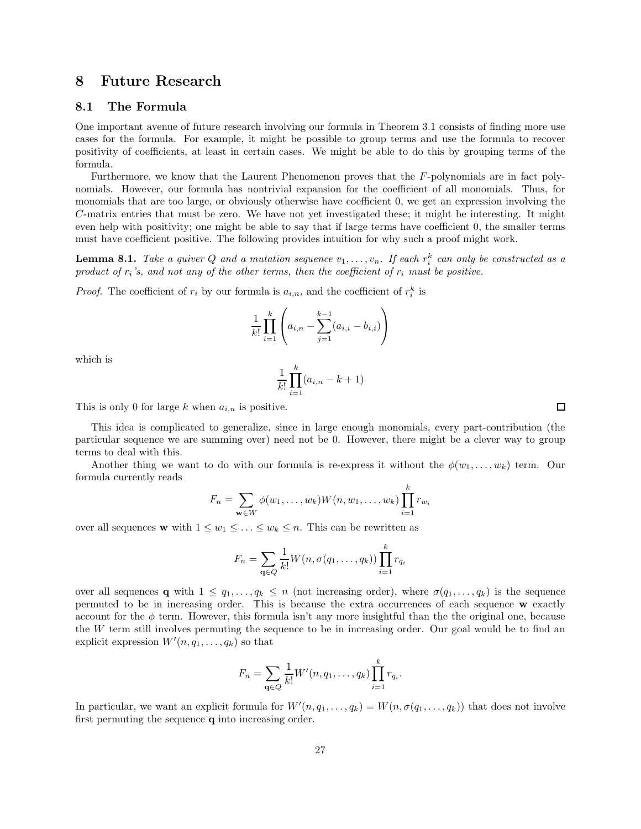## 8 Future Research

#### 8.1 The Formula

One important avenue of future research involving our formula in Theorem 3.1 consists of finding more use cases for the formula. For example, it might be possible to group terms and use the formula to recover positivity of coefficients, at least in certain cases. We might be able to do this by grouping terms of the formula.

Furthermore, we know that the Laurent Phenomenon proves that the F-polynomials are in fact polynomials. However, our formula has nontrivial expansion for the coefficient of all monomials. Thus, for monomials that are too large, or obviously otherwise have coefficient 0, we get an expression involving the C-matrix entries that must be zero. We have not yet investigated these; it might be interesting. It might even help with positivity; one might be able to say that if large terms have coefficient 0, the smaller terms must have coefficient positive. The following provides intuition for why such a proof might work.

**Lemma 8.1.** Take a quiver Q and a mutation sequence  $v_1, \ldots, v_n$ . If each  $r_i^k$  can only be constructed as a product of  $r_i$ 's, and not any of the other terms, then the coefficient of  $r_i$  must be positive.

*Proof.* The coefficient of  $r_i$  by our formula is  $a_{i,n}$ , and the coefficient of  $r_i^k$  is

$$
\frac{1}{k!} \prod_{i=1}^{k} \left( a_{i,n} - \sum_{j=1}^{k-1} (a_{i,i} - b_{i,i}) \right)
$$

which is

$$
\frac{1}{k!} \prod_{i=1}^{k} (a_{i,n} - k + 1)
$$

This is only 0 for large k when  $a_{i,n}$  is positive.

This idea is complicated to generalize, since in large enough monomials, every part-contribution (the particular sequence we are summing over) need not be 0. However, there might be a clever way to group terms to deal with this.

Another thing we want to do with our formula is re-express it without the  $\phi(w_1, \ldots, w_k)$  term. Our formula currently reads

$$
F_n = \sum_{\mathbf{w} \in W} \phi(w_1, \dots, w_k) W(n, w_1, \dots, w_k) \prod_{i=1}^k r_{w_i}
$$

over all sequences **w** with  $1 \leq w_1 \leq \ldots \leq w_k \leq n$ . This can be rewritten as

$$
F_n = \sum_{\mathbf{q} \in Q} \frac{1}{k!} W(n, \sigma(q_1, \dots, q_k)) \prod_{i=1}^k r_{q_i}
$$

over all sequences **q** with  $1 \leq q_1, \ldots, q_k \leq n$  (not increasing order), where  $\sigma(q_1, \ldots, q_k)$  is the sequence permuted to be in increasing order. This is because the extra occurrences of each sequence w exactly account for the  $\phi$  term. However, this formula isn't any more insightful than the the original one, because the W term still involves permuting the sequence to be in increasing order. Our goal would be to find an explicit expression  $W'(n, q_1, \ldots, q_k)$  so that

$$
F_n = \sum_{\mathbf{q} \in Q} \frac{1}{k!} W'(n, q_1, \dots, q_k) \prod_{i=1}^k r_{q_i}.
$$

In particular, we want an explicit formula for  $W'(n, q_1, \ldots, q_k) = W(n, \sigma(q_1, \ldots, q_k))$  that does not involve first permuting the sequence q into increasing order.

 $\Box$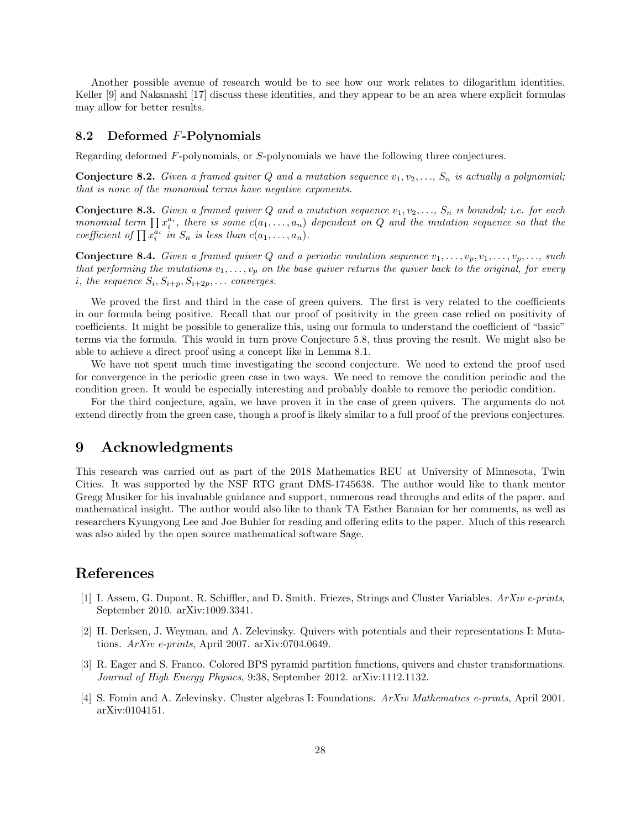Another possible avenue of research would be to see how our work relates to dilogarithm identities. Keller [9] and Nakanashi [17] discuss these identities, and they appear to be an area where explicit formulas may allow for better results.

#### 8.2 Deformed F-Polynomials

Regarding deformed F-polynomials, or S-polynomials we have the following three conjectures.

**Conjecture 8.2.** Given a framed quiver Q and a mutation sequence  $v_1, v_2, \ldots, S_n$  is actually a polynomial; that is none of the monomial terms have negative exponents.

**Conjecture 8.3.** Given a framed quiver Q and a mutation sequence  $v_1, v_2, \ldots, S_n$  is bounded; i.e. for each monomial term  $\prod x_i^{a_i}$ , there is some  $c(a_1, \ldots, a_n)$  dependent on Q and the mutation sequence so that the coefficient of  $\prod_{i=1}^{\infty} x_i^{\overline{a_i}}$  in  $S_n$  is less than  $c(a_1, \ldots, a_n)$ .

**Conjecture 8.4.** Given a framed quiver Q and a periodic mutation sequence  $v_1, \ldots, v_n, v_1, \ldots, v_n, \ldots$ , such that performing the mutations  $v_1, \ldots, v_p$  on the base quiver returns the quiver back to the original, for every *i*, the sequence  $S_i$ ,  $S_{i+p}$ ,  $S_{i+2p}$ , ... converges.

We proved the first and third in the case of green quivers. The first is very related to the coefficients in our formula being positive. Recall that our proof of positivity in the green case relied on positivity of coefficients. It might be possible to generalize this, using our formula to understand the coefficient of "basic" terms via the formula. This would in turn prove Conjecture 5.8, thus proving the result. We might also be able to achieve a direct proof using a concept like in Lemma 8.1.

We have not spent much time investigating the second conjecture. We need to extend the proof used for convergence in the periodic green case in two ways. We need to remove the condition periodic and the condition green. It would be especially interesting and probably doable to remove the periodic condition.

For the third conjecture, again, we have proven it in the case of green quivers. The arguments do not extend directly from the green case, though a proof is likely similar to a full proof of the previous conjectures.

# 9 Acknowledgments

This research was carried out as part of the 2018 Mathematics REU at University of Minnesota, Twin Cities. It was supported by the NSF RTG grant DMS-1745638. The author would like to thank mentor Gregg Musiker for his invaluable guidance and support, numerous read throughs and edits of the paper, and mathematical insight. The author would also like to thank TA Esther Banaian for her comments, as well as researchers Kyungyong Lee and Joe Buhler for reading and offering edits to the paper. Much of this research was also aided by the open source mathematical software Sage.

# References

- [1] I. Assem, G. Dupont, R. Schiffler, and D. Smith. Friezes, Strings and Cluster Variables. ArXiv e-prints, September 2010. arXiv:1009.3341.
- [2] H. Derksen, J. Weyman, and A. Zelevinsky. Quivers with potentials and their representations I: Mutations. ArXiv e-prints, April 2007. arXiv:0704.0649.
- [3] R. Eager and S. Franco. Colored BPS pyramid partition functions, quivers and cluster transformations. Journal of High Energy Physics, 9:38, September 2012. arXiv:1112.1132.
- [4] S. Fomin and A. Zelevinsky. Cluster algebras I: Foundations. ArXiv Mathematics e-prints, April 2001. arXiv:0104151.